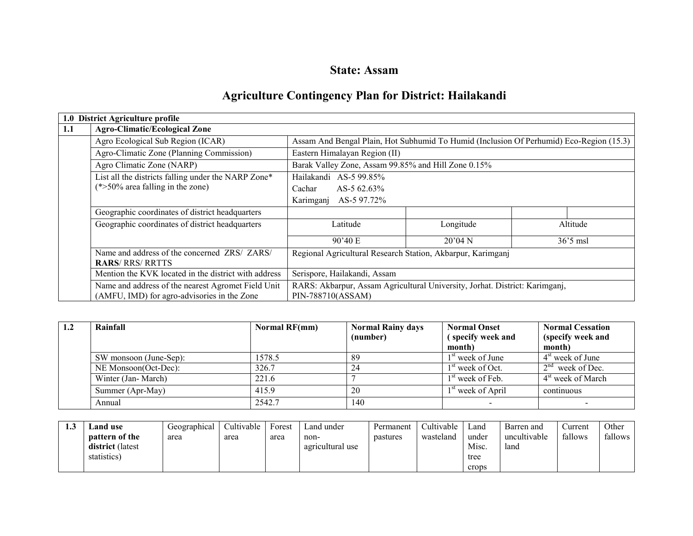## State: Assam

# Agriculture Contingency Plan for District: Hailakandi

|     | 1.0 District Agriculture profile                     |                                                                                         |                                                     |           |  |  |  |
|-----|------------------------------------------------------|-----------------------------------------------------------------------------------------|-----------------------------------------------------|-----------|--|--|--|
| 1.1 | <b>Agro-Climatic/Ecological Zone</b>                 |                                                                                         |                                                     |           |  |  |  |
|     | Agro Ecological Sub Region (ICAR)                    | Assam And Bengal Plain, Hot Subhumid To Humid (Inclusion Of Perhumid) Eco-Region (15.3) |                                                     |           |  |  |  |
|     | Agro-Climatic Zone (Planning Commission)             | Eastern Himalayan Region (II)                                                           |                                                     |           |  |  |  |
|     | Agro Climatic Zone (NARP)                            |                                                                                         | Barak Valley Zone, Assam 99.85% and Hill Zone 0.15% |           |  |  |  |
|     | List all the districts falling under the NARP Zone*  | Hailakandi AS-5 99.85%                                                                  |                                                     |           |  |  |  |
|     | $(*>50\%$ area falling in the zone)                  | Cachar<br>AS-5 $62.63\%$                                                                |                                                     |           |  |  |  |
|     |                                                      | Karimganj AS-5 97.72%                                                                   |                                                     |           |  |  |  |
|     | Geographic coordinates of district headquarters      |                                                                                         |                                                     |           |  |  |  |
|     | Geographic coordinates of district headquarters      | Latitude                                                                                | Longitude                                           | Altitude  |  |  |  |
|     |                                                      | 90'40 E                                                                                 | 20'04N                                              | $363$ msl |  |  |  |
|     | Name and address of the concerned ZRS/ ZARS/         | Regional Agricultural Research Station, Akbarpur, Karimganj                             |                                                     |           |  |  |  |
|     | <b>RARS/ RRS/ RRTTS</b>                              |                                                                                         |                                                     |           |  |  |  |
|     | Mention the KVK located in the district with address | Serispore, Hailakandi, Assam                                                            |                                                     |           |  |  |  |
|     | Name and address of the nearest Agromet Field Unit   | RARS: Akbarpur, Assam Agricultural University, Jorhat. District: Karimganj,             |                                                     |           |  |  |  |
|     | (AMFU, IMD) for agro-advisories in the Zone          | PIN-788710(ASSAM)                                                                       |                                                     |           |  |  |  |

| 1.2 | Rainfall               | Normal RF(mm) | <b>Normal Rainy days</b> | <b>Normal Onset</b>           | <b>Normal Cessation</b>       |
|-----|------------------------|---------------|--------------------------|-------------------------------|-------------------------------|
|     |                        |               | (number)                 | (specify week and             | (specify week and             |
|     |                        |               |                          | month)                        | month)                        |
|     | SW monsoon (June-Sep): | 1578.5        | 89                       | 1 <sup>st</sup> week of June  | $4st$ week of June            |
|     | NE Monsoon(Oct-Dec):   | 326.7         | 24                       | $1st$ week of Oct.            | $2nd$ week of Dec.            |
|     | Winter (Jan-March)     | 221.6         |                          | $1st$ week of Feb.            | 4 <sup>st</sup> week of March |
|     | Summer (Apr-May)       | 415.9         | 20                       | 1 <sup>st</sup> week of April | continuous                    |
|     | Annual                 | 2542.7        | 140                      |                               |                               |

| ن. 1 | and use.                | Geographical | Cultivable | Forest | Land under       | Permanent | Cultivable | Land  | Barren and   | Current | Other   |
|------|-------------------------|--------------|------------|--------|------------------|-----------|------------|-------|--------------|---------|---------|
|      | <b>pattern of the</b>   | area         | area       | area   | non-             | pastures  | wasteland  | under | uncultivable | fallows | fallows |
|      | <b>district</b> (latest |              |            |        | agricultural use |           |            | Misc. | land         |         |         |
|      | statistics)             |              |            |        |                  |           |            | tree  |              |         |         |
|      |                         |              |            |        |                  |           |            | crops |              |         |         |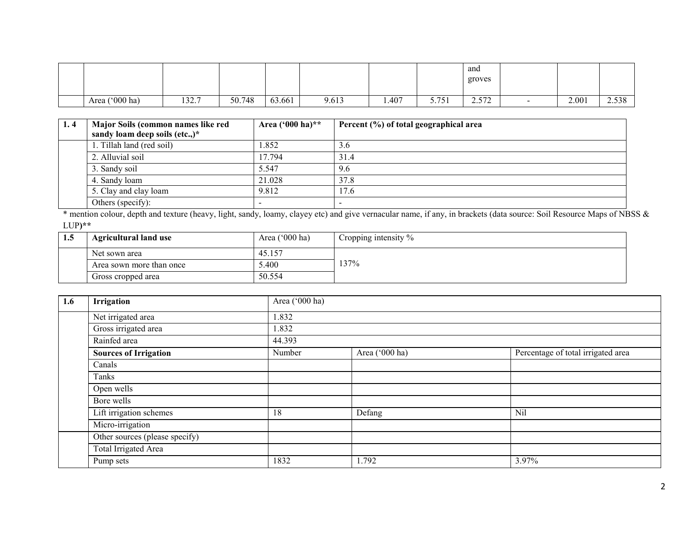|                              |       |        |        |       |       |              | and<br>groves |        |       |       |
|------------------------------|-------|--------|--------|-------|-------|--------------|---------------|--------|-------|-------|
| $(000 \text{ ha})$<br>Area ( | 132.7 | 50.748 | 63.661 | 9.613 | 1.407 | 751<br>J.1J1 | 572<br>2.012  | $\sim$ | 2.001 | 2.538 |

| 1.4 | Major Soils (common names like red | Area $(900 \text{ ha})$ ** | Percent (%) of total geographical area |
|-----|------------------------------------|----------------------------|----------------------------------------|
|     | sandy loam deep soils (etc.,)*     |                            |                                        |
|     | 1. Tillah land (red soil)          | .852                       | 3.6                                    |
|     | 2. Alluvial soil                   | 17.794                     | 31.4                                   |
|     | 3. Sandy soil                      | 5.547                      | 9.6                                    |
|     | 4. Sandy loam                      | 21.028                     | 37.8                                   |
|     | 5. Clay and clay loam              | 9.812                      | 17.6                                   |
|     | Others (specify):                  | $\overline{\phantom{a}}$   |                                        |

 \* mention colour, depth and texture (heavy, light, sandy, loamy, clayey etc) and give vernacular name, if any, in brackets (data source: Soil Resource Maps of NBSS & LUP)\*\*

| 1.5 | <b>Agricultural land use</b> | Area $(000 \text{ ha})$ | Cropping intensity % |
|-----|------------------------------|-------------------------|----------------------|
|     | Net sown area                | 45.157                  |                      |
|     | Area sown more than once     | 5.400                   | 137%                 |
|     | Gross cropped area           | 50.554                  |                      |

| 1.6 | Irrigation                     | Area ('000 ha) |                |                                    |  |  |  |  |
|-----|--------------------------------|----------------|----------------|------------------------------------|--|--|--|--|
|     | Net irrigated area             | 1.832          |                |                                    |  |  |  |  |
|     | Gross irrigated area           | 1.832          |                |                                    |  |  |  |  |
|     | Rainfed area                   | 44.393         |                |                                    |  |  |  |  |
|     | <b>Sources of Irrigation</b>   | Number         | Area ('000 ha) | Percentage of total irrigated area |  |  |  |  |
|     | Canals                         |                |                |                                    |  |  |  |  |
|     | Tanks                          |                |                |                                    |  |  |  |  |
|     | Open wells                     |                |                |                                    |  |  |  |  |
|     | Bore wells                     |                |                |                                    |  |  |  |  |
|     | Lift irrigation schemes        | 18             | Defang         | Nil                                |  |  |  |  |
|     | Micro-irrigation               |                |                |                                    |  |  |  |  |
|     | Other sources (please specify) |                |                |                                    |  |  |  |  |
|     | Total Irrigated Area           |                |                |                                    |  |  |  |  |
|     | Pump sets                      | 1832           | 1.792          | 3.97%                              |  |  |  |  |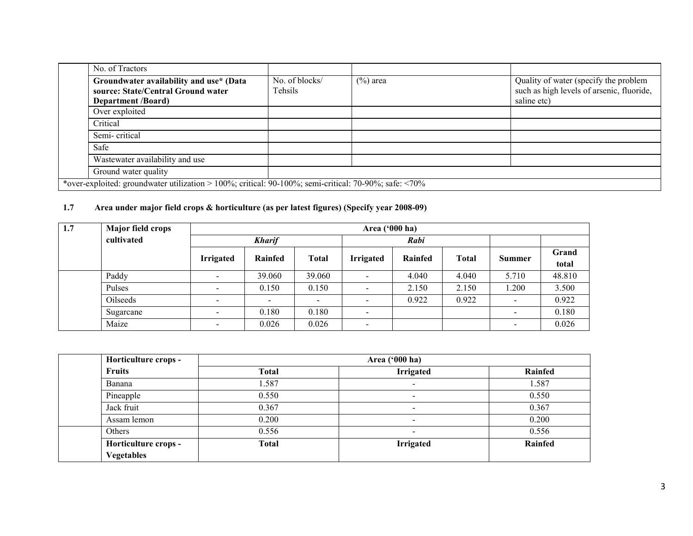| No. of Tractors                                                                                              |                           |             |                                                                                    |
|--------------------------------------------------------------------------------------------------------------|---------------------------|-------------|------------------------------------------------------------------------------------|
| Groundwater availability and use* (Data<br>source: State/Central Ground water                                | No. of blocks/<br>Tehsils | $(\%)$ area | Quality of water (specify the problem<br>such as high levels of arsenic, fluoride, |
| <b>Department /Board)</b>                                                                                    |                           |             | saline etc)                                                                        |
| Over exploited                                                                                               |                           |             |                                                                                    |
| Critical                                                                                                     |                           |             |                                                                                    |
| Semi-critical                                                                                                |                           |             |                                                                                    |
| Safe                                                                                                         |                           |             |                                                                                    |
| Wastewater availability and use                                                                              |                           |             |                                                                                    |
| Ground water quality                                                                                         |                           |             |                                                                                    |
| *over-exploited: groundwater utilization > 100%; critical: 90-100%; semi-critical: 70-90%; safe: $\leq 70\%$ |                           |             |                                                                                    |

#### 1.7 Area under major field crops & horticulture (as per latest figures) (Specify year 2008-09)

| 1.7 | <b>Major field crops</b> | Area $('000 ha)$         |               |                          |                          |         |              |                          |                |
|-----|--------------------------|--------------------------|---------------|--------------------------|--------------------------|---------|--------------|--------------------------|----------------|
|     | cultivated               |                          | <b>Kharif</b> |                          | Rabi                     |         |              |                          |                |
|     |                          | <b>Irrigated</b>         | Rainfed       | <b>Total</b>             | <b>Irrigated</b>         | Rainfed | <b>Total</b> | Summer                   | Grand<br>total |
|     | Paddy                    | $\sim$                   | 39.060        | 39.060                   | $\overline{\phantom{a}}$ | 4.040   | 4.040        | 5.710                    | 48.810         |
|     | Pulses                   | $\sim$                   | 0.150         | 0.150                    | $\overline{\phantom{a}}$ | 2.150   | 2.150        | 1.200                    | 3.500          |
|     | Oilseeds                 | $\overline{\phantom{a}}$ | $\equiv$      | $\overline{\phantom{0}}$ | $\overline{\phantom{0}}$ | 0.922   | 0.922        | $\sim$                   | 0.922          |
|     | Sugarcane                | $\sim$                   | 0.180         | 0.180                    | $\overline{\phantom{a}}$ |         |              | $\overline{\phantom{a}}$ | 0.180          |
|     | Maize                    | $\sim$                   | 0.026         | 0.026                    | $\overline{\phantom{a}}$ |         |              | $\blacksquare$           | 0.026          |

| Horticulture crops - | Area ('000 ha) |                  |         |  |  |  |
|----------------------|----------------|------------------|---------|--|--|--|
| <b>Fruits</b>        | <b>Total</b>   | <b>Irrigated</b> | Rainfed |  |  |  |
| Banana               | 1.587          | $\sim$           | .587    |  |  |  |
| Pineapple            | 0.550          | $\sim$           | 0.550   |  |  |  |
| Jack fruit           | 0.367          | $\blacksquare$   | 0.367   |  |  |  |
| Assam lemon          | 0.200          | $\sim$           | 0.200   |  |  |  |
| <b>Others</b>        | 0.556          |                  | 0.556   |  |  |  |
| Horticulture crops - | Total          | <b>Irrigated</b> | Rainfed |  |  |  |
| <b>Vegetables</b>    |                |                  |         |  |  |  |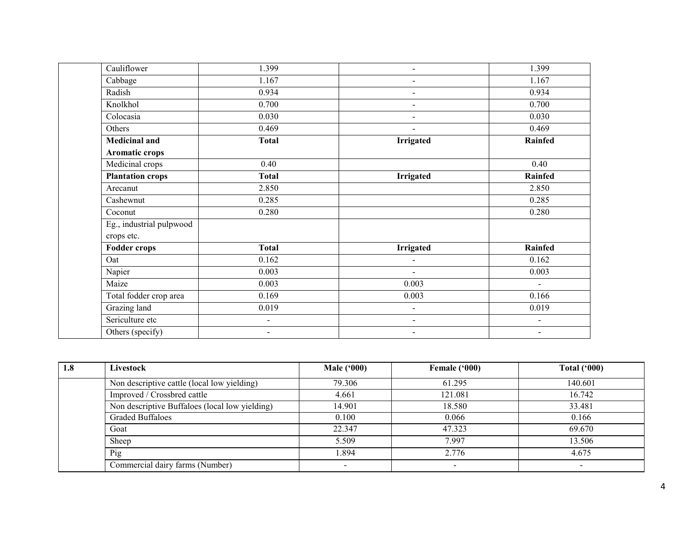| Cauliflower              | 1.399                    |                              | 1.399                    |
|--------------------------|--------------------------|------------------------------|--------------------------|
| Cabbage                  | 1.167                    |                              | 1.167                    |
| Radish                   | 0.934                    | Ξ.                           | 0.934                    |
| Knolkhol                 | 0.700                    | $\overline{\phantom{0}}$     | 0.700                    |
| Colocasia                | 0.030                    | Ξ.                           | 0.030                    |
| Others                   | 0.469                    | $\blacksquare$               | 0.469                    |
| <b>Medicinal and</b>     | <b>Total</b>             | <b>Irrigated</b>             | Rainfed                  |
| Aromatic crops           |                          |                              |                          |
| Medicinal crops          | 0.40                     |                              | 0.40                     |
| <b>Plantation crops</b>  | <b>Total</b>             | <b>Irrigated</b>             | <b>Rainfed</b>           |
| Arecanut                 | 2.850                    |                              | 2.850                    |
| Cashewnut                | 0.285                    |                              | 0.285                    |
| Coconut                  | 0.280                    |                              | 0.280                    |
| Eg., industrial pulpwood |                          |                              |                          |
| crops etc.               |                          |                              |                          |
| <b>Fodder crops</b>      | <b>Total</b>             | Irrigated                    | Rainfed                  |
| Oat                      | 0.162                    | $\blacksquare$               | 0.162                    |
| Napier                   | 0.003                    | $\sim$                       | 0.003                    |
| Maize                    | 0.003                    | 0.003                        | $\blacksquare$           |
| Total fodder crop area   | 0.169                    | 0.003                        | 0.166                    |
| Grazing land             | 0.019                    | $\sim$                       | 0.019                    |
| Sericulture etc          | ÷,                       | $\qquad \qquad \blacksquare$ | $\blacksquare$           |
| Others (specify)         | $\overline{\phantom{0}}$ | $\blacksquare$               | $\overline{\phantom{a}}$ |

| 1.8 | Livestock                                      | <b>Male ('000)</b> | Female ('000)            | Total $(900)$ |
|-----|------------------------------------------------|--------------------|--------------------------|---------------|
|     | Non descriptive cattle (local low yielding)    | 79.306             | 61.295                   | 140.601       |
|     | Improved / Crossbred cattle                    | 4.661              | 121.081                  | 16.742        |
|     | Non descriptive Buffaloes (local low yielding) | 14.901             | 18.580                   | 33.481        |
|     | <b>Graded Buffaloes</b>                        | 0.100              | 0.066                    | 0.166         |
|     | Goat                                           | 22.347             | 47.323                   | 69.670        |
|     | Sheep                                          | 5.509              | 7.997                    | 13.506        |
|     | Pig                                            | -894               | 2.776                    | 4.675         |
|     | Commercial dairy farms (Number)                |                    | $\overline{\phantom{0}}$ |               |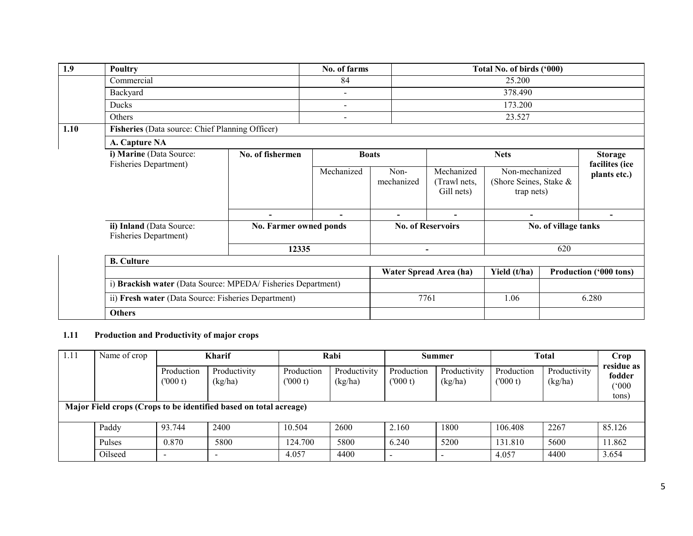| 1.9  | Poultry                                                      |                          | No. of farms             |                          |                                          | Total No. of birds ('000)                              |                               |                                  |
|------|--------------------------------------------------------------|--------------------------|--------------------------|--------------------------|------------------------------------------|--------------------------------------------------------|-------------------------------|----------------------------------|
|      | Commercial                                                   |                          | 84                       |                          |                                          | 25.200                                                 |                               |                                  |
|      | Backyard                                                     |                          | $\overline{\phantom{a}}$ |                          | 378.490                                  |                                                        |                               |                                  |
|      | Ducks                                                        |                          | $\overline{\phantom{a}}$ |                          | 173.200                                  |                                                        |                               |                                  |
|      | Others                                                       |                          | $\overline{\phantom{a}}$ | 23.527                   |                                          |                                                        |                               |                                  |
| 1.10 | Fisheries (Data source: Chief Planning Officer)              |                          |                          |                          |                                          |                                                        |                               |                                  |
|      | A. Capture NA                                                |                          |                          |                          |                                          |                                                        |                               |                                  |
|      | i) Marine (Data Source:<br><b>Fisheries Department)</b>      | No. of fishermen         | <b>Boats</b>             |                          | <b>Nets</b>                              |                                                        |                               | <b>Storage</b><br>facilites (ice |
|      |                                                              |                          | Mechanized               | Non-<br>mechanized       | Mechanized<br>(Trawl nets,<br>Gill nets) | Non-mechanized<br>(Shore Seines, Stake &<br>trap nets) |                               | plants etc.)                     |
|      |                                                              | $\overline{\phantom{a}}$ | $\overline{\phantom{a}}$ | $\overline{\phantom{a}}$ | $\blacksquare$                           | $\overline{\phantom{a}}$                               |                               | $\overline{\phantom{0}}$         |
|      | ii) Inland (Data Source:<br><b>Fisheries Department)</b>     | No. Farmer owned ponds   |                          | <b>No. of Reservoirs</b> |                                          | No. of village tanks                                   |                               |                                  |
|      |                                                              | 12335                    |                          | $\overline{\phantom{a}}$ |                                          | 620                                                    |                               |                                  |
|      | <b>B.</b> Culture                                            |                          |                          |                          |                                          |                                                        |                               |                                  |
|      |                                                              |                          |                          |                          | Water Spread Area (ha)                   | Yield (t/ha)                                           | <b>Production ('000 tons)</b> |                                  |
|      | i) Brackish water (Data Source: MPEDA/ Fisheries Department) |                          |                          |                          |                                          |                                                        |                               |                                  |
|      | ii) Fresh water (Data Source: Fisheries Department)          |                          |                          |                          | 7761                                     | 1.06                                                   |                               | 6.280                            |
|      | <b>Others</b>                                                |                          |                          |                          |                                          |                                                        |                               |                                  |

## 1.11 Production and Productivity of major crops

| 1.11                                                              | Name of crop |                          | <b>Kharif</b>           |                       | Rabi                    |                       | Summer                  |                       | <b>Total</b>            |                               |
|-------------------------------------------------------------------|--------------|--------------------------|-------------------------|-----------------------|-------------------------|-----------------------|-------------------------|-----------------------|-------------------------|-------------------------------|
|                                                                   |              | Production<br>(000 t)    | Productivity<br>(kg/ha) | Production<br>(000 t) | Productivity<br>(kg/ha) | Production<br>(000 t) | Productivity<br>(kg/ha) | Production<br>(000 t) | Productivity<br>(kg/ha) | residue as<br>fodder<br>(000) |
|                                                                   |              |                          |                         |                       |                         |                       |                         |                       |                         | tons)                         |
| Major Field crops (Crops to be identified based on total acreage) |              |                          |                         |                       |                         |                       |                         |                       |                         |                               |
|                                                                   | Paddy        | 93.744                   | 2400                    | 10.504                | 2600                    | 2.160                 | 1800                    | 106.408               | 2267                    | 85.126                        |
|                                                                   | Pulses       | 0.870                    | 5800                    | 124.700               | 5800                    | 6.240                 | 5200                    | 131.810               | 5600                    | 11.862                        |
|                                                                   | Oilseed      | $\overline{\phantom{0}}$ |                         | 4.057                 | 4400                    | $\,$                  |                         | 4.057                 | 4400                    | 3.654                         |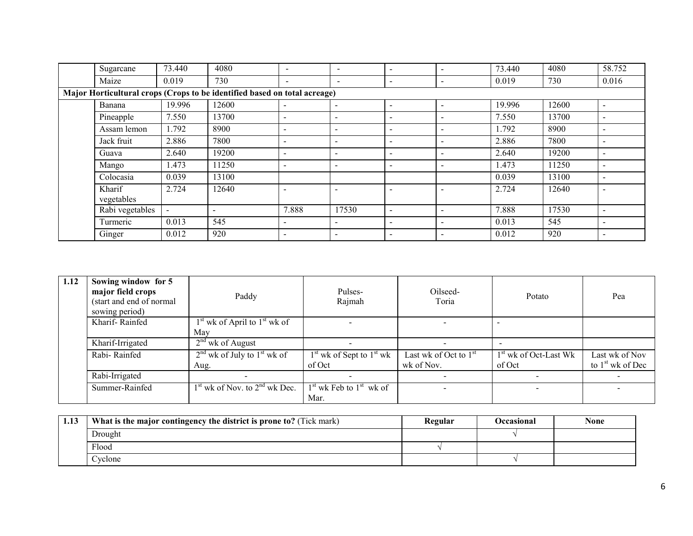| Sugarcane                                                                 | 73.440 | 4080                     | $\overline{\phantom{0}}$ | $\overline{a}$               | $\overline{\phantom{a}}$ | $\overline{\phantom{0}}$ | 73.440 | 4080  | 58.752                   |
|---------------------------------------------------------------------------|--------|--------------------------|--------------------------|------------------------------|--------------------------|--------------------------|--------|-------|--------------------------|
| Maize                                                                     | 0.019  | 730                      | $\overline{\phantom{a}}$ | $\overline{\phantom{a}}$     | $\sim$                   |                          | 0.019  | 730   | 0.016                    |
| Major Horticultural crops (Crops to be identified based on total acreage) |        |                          |                          |                              |                          |                          |        |       |                          |
| Banana                                                                    | 19.996 | 12600                    | $\overline{\phantom{a}}$ | $\overline{\phantom{a}}$     | $\overline{\phantom{a}}$ |                          | 19.996 | 12600 | $\overline{\phantom{a}}$ |
| Pineapple                                                                 | 7.550  | 13700                    |                          | $\qquad \qquad \blacksquare$ | $\sim$                   | $\,$                     | 7.550  | 13700 | $\qquad \qquad$          |
| Assam lemon                                                               | 1.792  | 8900                     | $\overline{\phantom{0}}$ | $\overline{\phantom{a}}$     | $\overline{\phantom{0}}$ |                          | 1.792  | 8900  | $\overline{\phantom{0}}$ |
| Jack fruit                                                                | 2.886  | 7800                     | $\overline{\phantom{0}}$ | $\overline{\phantom{a}}$     | $\overline{\phantom{a}}$ | $\overline{\phantom{0}}$ | 2.886  | 7800  | $\overline{\phantom{a}}$ |
| Guava                                                                     | 2.640  | 19200                    | $\overline{\phantom{0}}$ | $\overline{\phantom{a}}$     | $\sim$                   | $\overline{\phantom{0}}$ | 2.640  | 19200 | $\overline{\phantom{a}}$ |
| Mango                                                                     | 1.473  | 11250                    |                          | $\overline{\phantom{a}}$     | $\sim$                   |                          | 1.473  | 11250 | $\overline{\phantom{0}}$ |
| Colocasia                                                                 | 0.039  | 13100                    |                          |                              |                          |                          | 0.039  | 13100 | $\overline{\phantom{0}}$ |
| Kharif<br>vegetables                                                      | 2.724  | 12640                    |                          | $\overline{\phantom{0}}$     |                          |                          | 2.724  | 12640 | $\overline{\phantom{0}}$ |
| Rabi vegetables                                                           |        | $\overline{\phantom{a}}$ | 7.888                    | 17530                        | $\overline{\phantom{a}}$ | $\overline{\phantom{0}}$ | 7.888  | 17530 | $\overline{\phantom{a}}$ |
| Turmeric                                                                  | 0.013  | 545                      |                          | $\qquad \qquad \blacksquare$ | $\overline{\phantom{a}}$ |                          | 0.013  | 545   | $\overline{\phantom{0}}$ |
| Ginger                                                                    | 0.012  | 920                      | $\overline{\phantom{0}}$ | $\overline{\phantom{a}}$     | $\,$                     |                          | 0.012  | 920   | $\overline{\phantom{a}}$ |

| 1.12 | Sowing window for 5<br>major field crops<br>(start and end of normal)<br>sowing period) | Paddy                             | Pulses-<br>Rajmah            | Oilseed-<br>Toria        | Potato                  | Pea                |
|------|-----------------------------------------------------------------------------------------|-----------------------------------|------------------------------|--------------------------|-------------------------|--------------------|
|      | Kharif-Rainfed                                                                          | $1st$ wk of April to $1st$ wk of  |                              |                          |                         |                    |
|      |                                                                                         | May                               |                              |                          |                         |                    |
|      | Kharif-Irrigated                                                                        | $2nd$ wk of August                | $\overline{\phantom{a}}$     | $\overline{\phantom{a}}$ |                         |                    |
|      | Rabi-Rainfed                                                                            | $2nd$ wk of July to $1st$ wk of   | $1st$ wk of Sept to $1st$ wk | Last wk of Oct to $1st$  | $1st$ wk of Oct-Last Wk | Last wk of Nov     |
|      |                                                                                         | Aug.                              | of Oct                       | wk of Nov.               | of Oct                  | to $1st$ wk of Dec |
|      | Rabi-Irrigated                                                                          |                                   |                              |                          |                         |                    |
|      | Summer-Rainfed                                                                          | $1st$ wk of Nov. to $2nd$ wk Dec. | $1st$ wk Feb to $1st$ wk of  | $\sim$                   |                         |                    |
|      |                                                                                         |                                   | Mar.                         |                          |                         |                    |

| 1.13    | What is the major contingency the district is prone to? (Tick mark) | Regular | Occasional | <b>None</b> |
|---------|---------------------------------------------------------------------|---------|------------|-------------|
| Drought |                                                                     |         |            |             |
| Flood   |                                                                     |         |            |             |
| ∠vclone |                                                                     |         |            |             |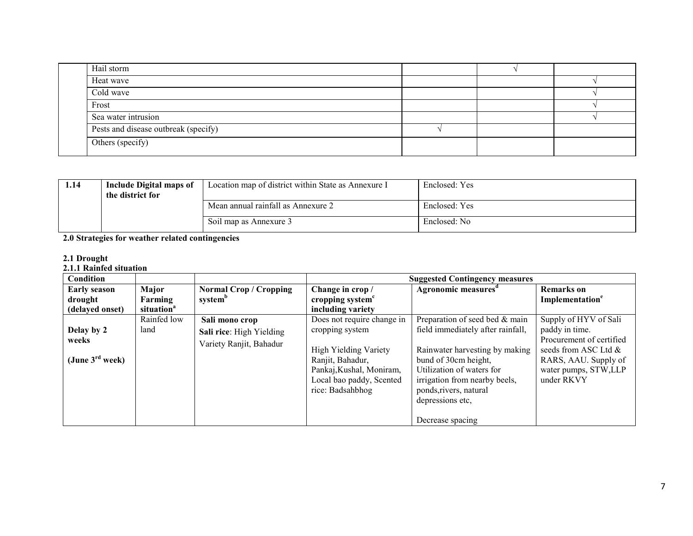| Hail storm                           |  |  |
|--------------------------------------|--|--|
| Heat wave                            |  |  |
| Cold wave                            |  |  |
| Frost                                |  |  |
| Sea water intrusion                  |  |  |
| Pests and disease outbreak (specify) |  |  |
| Others (specify)                     |  |  |

| 1.14 | Include Digital maps of<br>the district for | Location map of district within State as Annexure I | Enclosed: Yes |
|------|---------------------------------------------|-----------------------------------------------------|---------------|
|      |                                             | Mean annual rainfall as Annexure 2                  | Enclosed: Yes |
|      |                                             | Soil map as Annexure 3                              | Enclosed: No  |

#### 2.0 Strategies for weather related contingencies

2.1 Drought<br>2.1.1 Rainfed situation

| <b>Condition</b>            |                        |                          |                              | <b>Suggested Contingency measures</b> |                             |
|-----------------------------|------------------------|--------------------------|------------------------------|---------------------------------------|-----------------------------|
| <b>Early season</b>         | Major                  | Normal Crop / Cropping   | Change in crop/              | Agronomic measures <sup>a</sup>       | <b>Remarks</b> on           |
| drought                     | Farming                | system <sup>b</sup>      | cropping system <sup>c</sup> |                                       | Implementation <sup>e</sup> |
| (delayed onset)             | situation <sup>a</sup> |                          | including variety            |                                       |                             |
|                             | Rainfed low            | Sali mono crop           | Does not require change in   | Preparation of seed bed & main        | Supply of HYV of Sali       |
| Delay by 2                  | land                   | Sali rice: High Yielding | cropping system              | field immediately after rainfall,     | paddy in time.              |
| weeks                       |                        | Variety Ranjit, Bahadur  |                              |                                       | Procurement of certified    |
|                             |                        |                          | <b>High Yielding Variety</b> | Rainwater harvesting by making        | seeds from ASC Ltd &        |
| (June $3^{\text{rd}}$ week) |                        |                          | Ranjit, Bahadur,             | bund of 30cm height,                  | RARS, AAU. Supply of        |
|                             |                        |                          | Pankaj, Kushal, Moniram,     | Utilization of waters for             | water pumps, STW,LLP        |
|                             |                        |                          | Local bao paddy, Scented     | irrigation from nearby beels,         | under RKVY                  |
|                             |                        |                          | rice: Badsahbhog             | ponds, rivers, natural                |                             |
|                             |                        |                          |                              | depressions etc,                      |                             |
|                             |                        |                          |                              |                                       |                             |
|                             |                        |                          |                              | Decrease spacing                      |                             |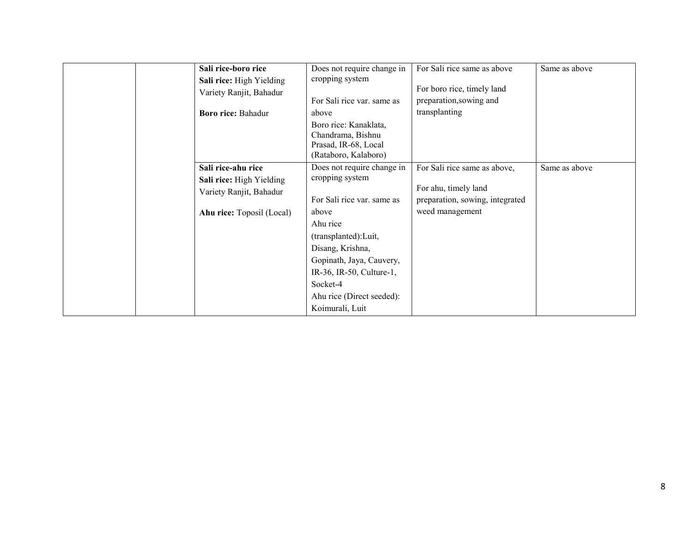| Sali rice-boro rice<br>Sali rice: High Yielding<br>Variety Ranjit, Bahadur<br><b>Boro rice: Bahadur</b> | Does not require change in<br>cropping system<br>For Sali rice var. same as<br>above<br>Boro rice: Kanaklata,<br>Chandrama, Bishnu<br>Prasad, IR-68, Local<br>(Rataboro, Kalaboro)                                                                                | For Sali rice same as above<br>For boro rice, timely land<br>preparation, sowing and<br>transplanting      | Same as above |
|---------------------------------------------------------------------------------------------------------|-------------------------------------------------------------------------------------------------------------------------------------------------------------------------------------------------------------------------------------------------------------------|------------------------------------------------------------------------------------------------------------|---------------|
| Sali rice-ahu rice<br>Sali rice: High Yielding<br>Variety Ranjit, Bahadur<br>Ahu rice: Toposil (Local)  | Does not require change in<br>cropping system<br>For Sali rice var. same as<br>above<br>Ahu rice<br>(transplanted): Luit,<br>Disang, Krishna,<br>Gopinath, Jaya, Cauvery,<br>IR-36, IR-50, Culture-1,<br>Socket-4<br>Ahu rice (Direct seeded):<br>Koimurali, Luit | For Sali rice same as above,<br>For ahu, timely land<br>preparation, sowing, integrated<br>weed management | Same as above |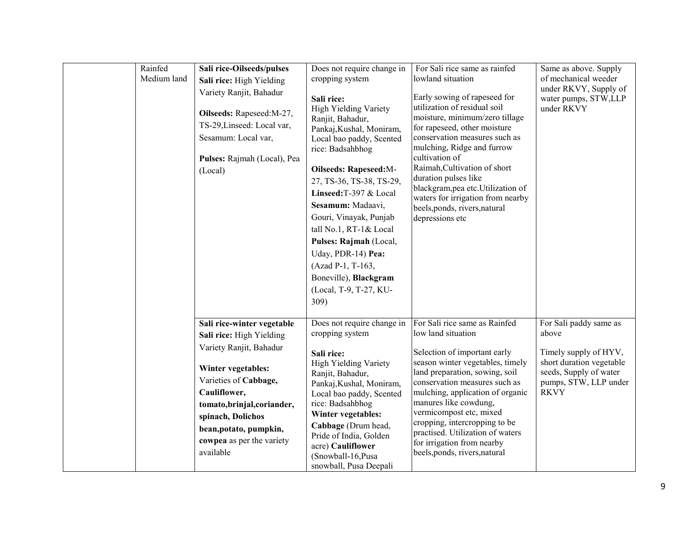| Rainfed<br>Medium land | Sali rice-Oilseeds/pulses<br>Sali rice: High Yielding<br>Variety Ranjit, Bahadur<br>Oilseeds: Rapeseed: M-27,<br>TS-29, Linseed: Local var,<br>Sesamum: Local var,<br>Pulses: Rajmah (Local), Pea<br>(Local)                                                             | Does not require change in<br>cropping system<br>Sali rice:<br><b>High Yielding Variety</b><br>Ranjit, Bahadur,<br>Pankaj, Kushal, Moniram,<br>Local bao paddy, Scented<br>rice: Badsahbhog<br><b>Oilseeds: Rapeseed:M-</b><br>27, TS-36, TS-38, TS-29,<br>Linseed: T-397 & Local<br>Sesamum: Madaavi,<br>Gouri, Vinayak, Punjab<br>tall No.1, RT-1& Local<br>Pulses: Rajmah (Local,<br>Uday, PDR-14) Pea:<br>(Azad P-1, T-163,<br>Boneville), Blackgram<br>(Local, T-9, T-27, KU-<br>309) | For Sali rice same as rainfed<br>lowland situation<br>Early sowing of rapeseed for<br>utilization of residual soil<br>moisture, minimum/zero tillage<br>for rapeseed, other moisture<br>conservation measures such as<br>mulching, Ridge and furrow<br>cultivation of<br>Raimah, Cultivation of short<br>duration pulses like<br>blackgram, pea etc. Utilization of<br>waters for irrigation from nearby<br>beels, ponds, rivers, natural<br>depressions etc | Same as above. Supply<br>of mechanical weeder<br>under RKVY, Supply of<br>water pumps, STW,LLP<br>under RKVY                                           |
|------------------------|--------------------------------------------------------------------------------------------------------------------------------------------------------------------------------------------------------------------------------------------------------------------------|--------------------------------------------------------------------------------------------------------------------------------------------------------------------------------------------------------------------------------------------------------------------------------------------------------------------------------------------------------------------------------------------------------------------------------------------------------------------------------------------|--------------------------------------------------------------------------------------------------------------------------------------------------------------------------------------------------------------------------------------------------------------------------------------------------------------------------------------------------------------------------------------------------------------------------------------------------------------|--------------------------------------------------------------------------------------------------------------------------------------------------------|
|                        | Sali rice-winter vegetable<br>Sali rice: High Yielding<br>Variety Ranjit, Bahadur<br>Winter vegetables:<br>Varieties of Cabbage,<br>Cauliflower,<br>tomato, brinjal, coriander,<br>spinach, Dolichos<br>bean, potato, pumpkin,<br>cowpea as per the variety<br>available | Does not require change in<br>cropping system<br>Sali rice:<br><b>High Yielding Variety</b><br>Ranjit, Bahadur,<br>Pankaj, Kushal, Moniram,<br>Local bao paddy, Scented<br>rice: Badsahbhog<br>Winter vegetables:<br>Cabbage (Drum head,<br>Pride of India, Golden<br>acre) Cauliflower<br>(Snowball-16, Pusa<br>snowball, Pusa Deepali                                                                                                                                                    | For Sali rice same as Rainfed<br>low land situation<br>Selection of important early<br>season winter vegetables, timely<br>land preparation, sowing, soil<br>conservation measures such as<br>mulching, application of organic<br>manures like cowdung,<br>vermicompost etc, mixed<br>cropping, intercropping to be<br>practised. Utilization of waters<br>for irrigation from nearby<br>beels, ponds, rivers, natural                                       | For Sali paddy same as<br>above<br>Timely supply of HYV,<br>short duration vegetable<br>seeds, Supply of water<br>pumps, STW, LLP under<br><b>RKVY</b> |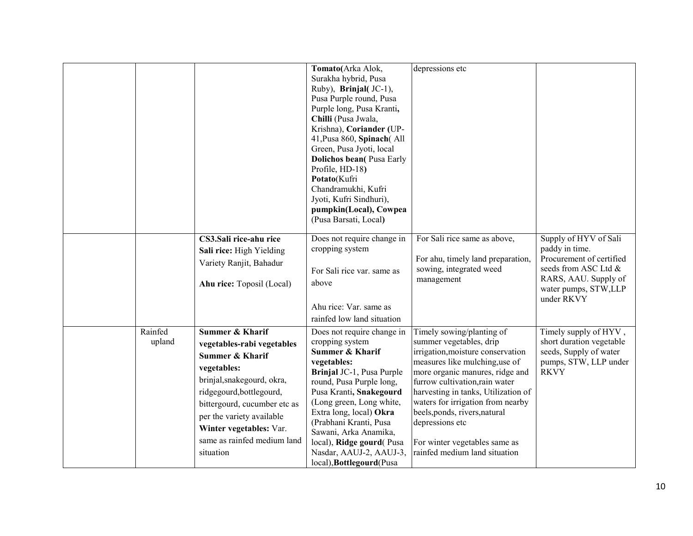|                   |                                                                                                                                                                                                                                                                               | Tomato(Arka Alok,<br>Surakha hybrid, Pusa                                                                                                                                                                                                                                                                                                                                   | depressions etc                                                                                                                                                                                                                                                                                                                                                                                    |                                                                                                                                                           |
|-------------------|-------------------------------------------------------------------------------------------------------------------------------------------------------------------------------------------------------------------------------------------------------------------------------|-----------------------------------------------------------------------------------------------------------------------------------------------------------------------------------------------------------------------------------------------------------------------------------------------------------------------------------------------------------------------------|----------------------------------------------------------------------------------------------------------------------------------------------------------------------------------------------------------------------------------------------------------------------------------------------------------------------------------------------------------------------------------------------------|-----------------------------------------------------------------------------------------------------------------------------------------------------------|
|                   |                                                                                                                                                                                                                                                                               | Ruby), Brinjal(JC-1),<br>Pusa Purple round, Pusa<br>Purple long, Pusa Kranti,<br>Chilli (Pusa Jwala,<br>Krishna), Coriander (UP-<br>41, Pusa 860, Spinach(All<br>Green, Pusa Jyoti, local<br><b>Dolichos bean(Pusa Early)</b><br>Profile, HD-18)<br>Potato(Kufri<br>Chandramukhi, Kufri<br>Jyoti, Kufri Sindhuri),<br>pumpkin(Local), Cowpea<br>(Pusa Barsati, Local)       |                                                                                                                                                                                                                                                                                                                                                                                                    |                                                                                                                                                           |
|                   | CS3.Sali rice-ahu rice<br>Sali rice: High Yielding<br>Variety Ranjit, Bahadur<br>Ahu rice: Toposil (Local)                                                                                                                                                                    | Does not require change in<br>cropping system<br>For Sali rice var. same as<br>above<br>Ahu rice: Var. same as<br>rainfed low land situation                                                                                                                                                                                                                                | For Sali rice same as above,<br>For ahu, timely land preparation,<br>sowing, integrated weed<br>management                                                                                                                                                                                                                                                                                         | Supply of HYV of Sali<br>paddy in time.<br>Procurement of certified<br>seeds from ASC Ltd &<br>RARS, AAU. Supply of<br>water pumps, STW,LLP<br>under RKVY |
| Rainfed<br>upland | Summer & Kharif<br>vegetables-rabi vegetables<br>Summer & Kharif<br>vegetables:<br>brinjal, snakegourd, okra,<br>ridgegourd, bottlegourd,<br>bittergourd, cucumber etc as<br>per the variety available<br>Winter vegetables: Var.<br>same as rainfed medium land<br>situation | Does not require change in<br>cropping system<br><b>Summer &amp; Kharif</b><br>vegetables:<br>Brinjal JC-1, Pusa Purple<br>round, Pusa Purple long,<br>Pusa Kranti, Snakegourd<br>(Long green, Long white,<br>Extra long, local) Okra<br>(Prabhani Kranti, Pusa<br>Sawani, Arka Anamika,<br>local), Ridge gourd(Pusa<br>Nasdar, AAUJ-2, AAUJ-3,<br>local), Bottlegourd(Pusa | Timely sowing/planting of<br>summer vegetables, drip<br>irrigation, moisture conservation<br>measures like mulching, use of<br>more organic manures, ridge and<br>furrow cultivation, rain water<br>harvesting in tanks, Utilization of<br>waters for irrigation from nearby<br>beels, ponds, rivers, natural<br>depressions etc<br>For winter vegetables same as<br>rainfed medium land situation | Timely supply of HYV,<br>short duration vegetable<br>seeds, Supply of water<br>pumps, STW, LLP under<br><b>RKVY</b>                                       |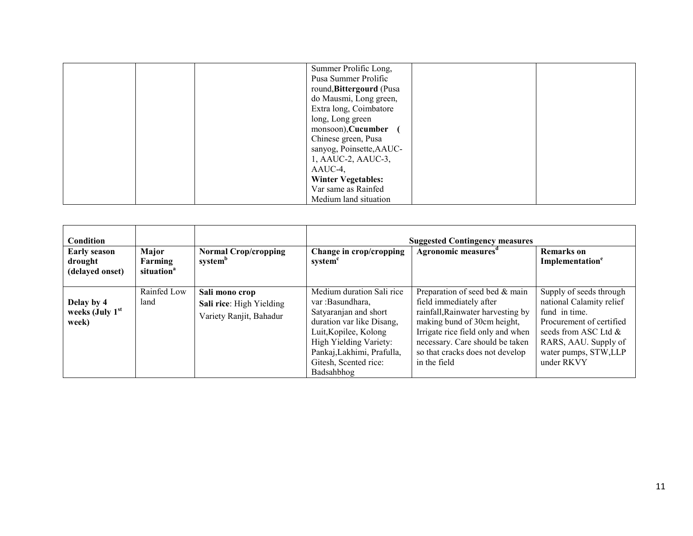|  | Summer Prolific Long,     |  |
|--|---------------------------|--|
|  | Pusa Summer Prolific      |  |
|  | round, Bittergourd (Pusa  |  |
|  | do Mausmi, Long green,    |  |
|  | Extra long, Coimbatore    |  |
|  | long, Long green          |  |
|  | monsoon), Cucumber        |  |
|  | Chinese green, Pusa       |  |
|  | sanyog, Poinsette, AAUC-  |  |
|  | 1, AAUC-2, AAUC-3,        |  |
|  | AAUC-4,                   |  |
|  | <b>Winter Vegetables:</b> |  |
|  | Var same as Rainfed       |  |
|  | Medium land situation     |  |

| <b>Condition</b><br><b>Early season</b>  | Major                             |                                                                       |                                                                                                                                                                                                                             | <b>Suggested Contingency measures</b><br>Agronomic measures <sup>d</sup>                                                                                                                                                                                 | <b>Remarks</b> on                                                                                                                                                                         |
|------------------------------------------|-----------------------------------|-----------------------------------------------------------------------|-----------------------------------------------------------------------------------------------------------------------------------------------------------------------------------------------------------------------------|----------------------------------------------------------------------------------------------------------------------------------------------------------------------------------------------------------------------------------------------------------|-------------------------------------------------------------------------------------------------------------------------------------------------------------------------------------------|
| drought<br>(delayed onset)               | Farming<br>situation <sup>a</sup> | <b>Normal Crop/cropping</b><br>system <sup>b</sup>                    | Change in crop/cropping<br>system <sup>c</sup>                                                                                                                                                                              |                                                                                                                                                                                                                                                          | Implementation <sup>e</sup>                                                                                                                                                               |
| Delay by 4<br>weeks (July $1st$<br>week) | Rainfed Low<br>land               | Sali mono crop<br>Sali rice: High Yielding<br>Variety Ranjit, Bahadur | Medium duration Sali rice<br>var :Basundhara,<br>Satyaranjan and short<br>duration var like Disang,<br>Luit, Kopilee, Kolong<br>High Yielding Variety:<br>Pankaj, Lakhimi, Prafulla,<br>Gitesh, Scented rice:<br>Badsahbhog | Preparation of seed bed & main<br>field immediately after<br>rainfall, Rainwater harvesting by<br>making bund of 30cm height,<br>Irrigate rice field only and when<br>necessary. Care should be taken<br>so that cracks does not develop<br>in the field | Supply of seeds through<br>national Calamity relief<br>fund in time.<br>Procurement of certified<br>seeds from ASC Ltd $\&$<br>RARS, AAU. Supply of<br>water pumps, STW,LLP<br>under RKVY |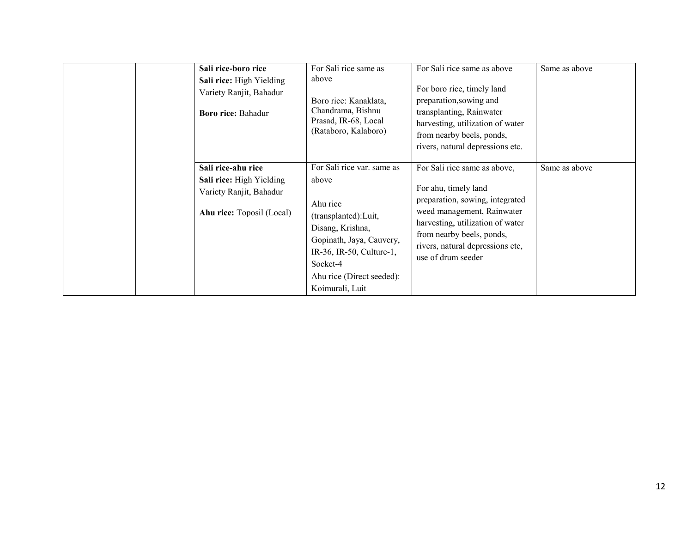| Sali rice-boro rice<br>Sali rice: High Yielding<br>Variety Ranjit, Bahadur<br><b>Boro rice: Bahadur</b> | For Sali rice same as<br>above<br>Boro rice: Kanaklata,<br>Chandrama, Bishnu<br>Prasad, IR-68, Local<br>(Rataboro, Kalaboro)                                                                                     | For Sali rice same as above<br>For boro rice, timely land<br>preparation, sowing and<br>transplanting, Rainwater<br>harvesting, utilization of water<br>from nearby beels, ponds,<br>rivers, natural depressions etc.                            | Same as above |
|---------------------------------------------------------------------------------------------------------|------------------------------------------------------------------------------------------------------------------------------------------------------------------------------------------------------------------|--------------------------------------------------------------------------------------------------------------------------------------------------------------------------------------------------------------------------------------------------|---------------|
| Sali rice-ahu rice<br>Sali rice: High Yielding<br>Variety Ranjit, Bahadur<br>Ahu rice: Toposil (Local)  | For Sali rice var. same as<br>above<br>Ahu rice<br>(transplanted): Luit,<br>Disang, Krishna,<br>Gopinath, Jaya, Cauvery,<br>IR-36, IR-50, Culture-1,<br>Socket-4<br>Ahu rice (Direct seeded):<br>Koimurali, Luit | For Sali rice same as above,<br>For ahu, timely land<br>preparation, sowing, integrated<br>weed management, Rainwater<br>harvesting, utilization of water<br>from nearby beels, ponds,<br>rivers, natural depressions etc,<br>use of drum seeder | Same as above |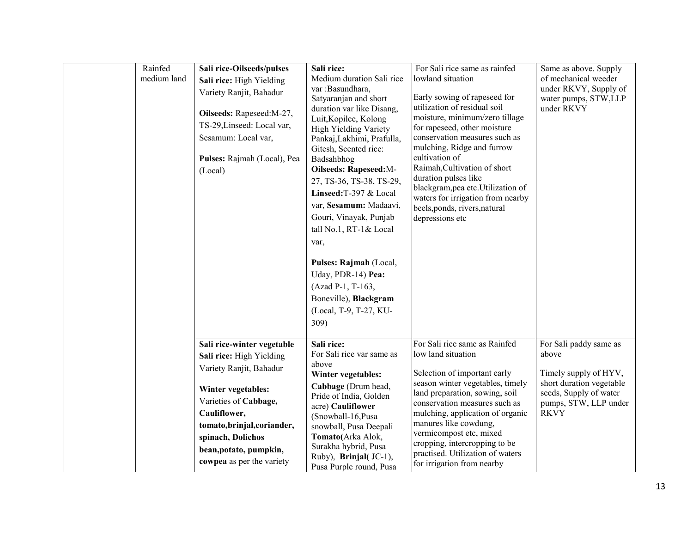| Rainfed<br>medium land | Sali rice-Oilseeds/pulses<br>Sali rice: High Yielding<br>Variety Ranjit, Bahadur<br>Oilseeds: Rapeseed:M-27,<br>TS-29, Linseed: Local var,<br>Sesamum: Local var,<br>Pulses: Rajmah (Local), Pea<br>(Local)                                                 | Sali rice:<br>Medium duration Sali rice<br>var :Basundhara,<br>Satyaranjan and short<br>duration var like Disang,<br>Luit, Kopilee, Kolong<br><b>High Yielding Variety</b><br>Pankaj, Lakhimi, Prafulla,<br>Gitesh, Scented rice:<br>Badsahbhog<br>Oilseeds: Rapeseed:M-<br>27, TS-36, TS-38, TS-29,<br>Linseed: T-397 & Local<br>var, Sesamum: Madaavi,<br>Gouri, Vinayak, Punjab<br>tall No.1, RT-1& Local<br>var,<br>Pulses: Rajmah (Local,<br>Uday, PDR-14) Pea:<br>(Azad P-1, T-163,<br>Boneville), Blackgram<br>(Local, T-9, T-27, KU- | For Sali rice same as rainfed<br>lowland situation<br>Early sowing of rapeseed for<br>utilization of residual soil<br>moisture, minimum/zero tillage<br>for rapeseed, other moisture<br>conservation measures such as<br>mulching, Ridge and furrow<br>cultivation of<br>Raimah, Cultivation of short<br>duration pulses like<br>blackgram, pea etc. Utilization of<br>waters for irrigation from nearby<br>beels, ponds, rivers, natural<br>depressions etc | Same as above. Supply<br>of mechanical weeder<br>under RKVY, Supply of<br>water pumps, STW,LLP<br>under RKVY                                           |
|------------------------|-------------------------------------------------------------------------------------------------------------------------------------------------------------------------------------------------------------------------------------------------------------|----------------------------------------------------------------------------------------------------------------------------------------------------------------------------------------------------------------------------------------------------------------------------------------------------------------------------------------------------------------------------------------------------------------------------------------------------------------------------------------------------------------------------------------------|--------------------------------------------------------------------------------------------------------------------------------------------------------------------------------------------------------------------------------------------------------------------------------------------------------------------------------------------------------------------------------------------------------------------------------------------------------------|--------------------------------------------------------------------------------------------------------------------------------------------------------|
|                        |                                                                                                                                                                                                                                                             | 309)                                                                                                                                                                                                                                                                                                                                                                                                                                                                                                                                         |                                                                                                                                                                                                                                                                                                                                                                                                                                                              |                                                                                                                                                        |
|                        | Sali rice-winter vegetable<br>Sali rice: High Yielding<br>Variety Ranjit, Bahadur<br>Winter vegetables:<br>Varieties of Cabbage,<br>Cauliflower,<br>tomato, brinjal, coriander,<br>spinach, Dolichos<br>bean, potato, pumpkin,<br>cowpea as per the variety | Sali rice:<br>For Sali rice var same as<br>above<br>Winter vegetables:<br>Cabbage (Drum head,<br>Pride of India, Golden<br>acre) Cauliflower<br>(Snowball-16, Pusa<br>snowball, Pusa Deepali<br>Tomato(Arka Alok,<br>Surakha hybrid, Pusa<br>Ruby), Brinjal(JC-1),<br>Pusa Purple round, Pusa                                                                                                                                                                                                                                                | For Sali rice same as Rainfed<br>low land situation<br>Selection of important early<br>season winter vegetables, timely<br>land preparation, sowing, soil<br>conservation measures such as<br>mulching, application of organic<br>manures like cowdung,<br>vermicompost etc, mixed<br>cropping, intercropping to be<br>practised. Utilization of waters<br>for irrigation from nearby                                                                        | For Sali paddy same as<br>above<br>Timely supply of HYV,<br>short duration vegetable<br>seeds, Supply of water<br>pumps, STW, LLP under<br><b>RKVY</b> |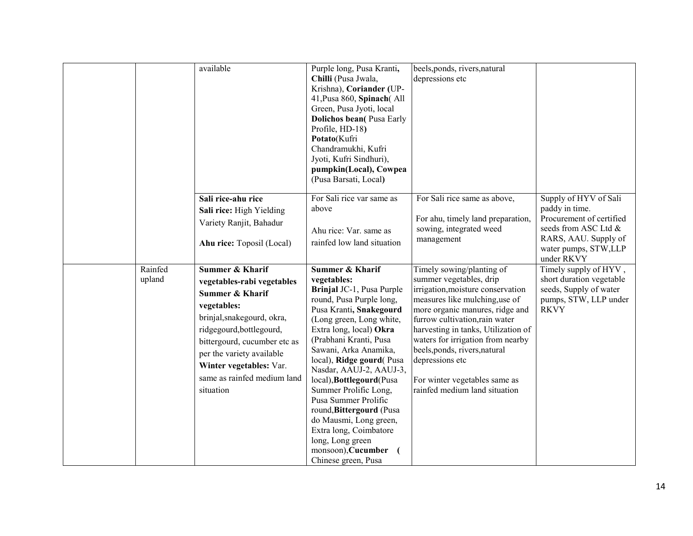|                   | available                                                                                                                                                                                                                                                                                           | Purple long, Pusa Kranti,<br>Chilli (Pusa Jwala,<br>Krishna), Coriander (UP-<br>41, Pusa 860, Spinach (All<br>Green, Pusa Jyoti, local<br><b>Dolichos bean(Pusa Early</b><br>Profile, HD-18)<br>Potato(Kufri<br>Chandramukhi, Kufri<br>Jyoti, Kufri Sindhuri),<br>pumpkin(Local), Cowpea<br>(Pusa Barsati, Local)                                                                                                                                                                                                   | beels, ponds, rivers, natural<br>depressions etc                                                                                                                                                                                                                                                                                                                                                   |                                                                                                                                                           |
|-------------------|-----------------------------------------------------------------------------------------------------------------------------------------------------------------------------------------------------------------------------------------------------------------------------------------------------|---------------------------------------------------------------------------------------------------------------------------------------------------------------------------------------------------------------------------------------------------------------------------------------------------------------------------------------------------------------------------------------------------------------------------------------------------------------------------------------------------------------------|----------------------------------------------------------------------------------------------------------------------------------------------------------------------------------------------------------------------------------------------------------------------------------------------------------------------------------------------------------------------------------------------------|-----------------------------------------------------------------------------------------------------------------------------------------------------------|
|                   | Sali rice-ahu rice<br>Sali rice: High Yielding<br>Variety Ranjit, Bahadur<br>Ahu rice: Toposil (Local)                                                                                                                                                                                              | For Sali rice var same as<br>above<br>Ahu rice: Var. same as<br>rainfed low land situation                                                                                                                                                                                                                                                                                                                                                                                                                          | For Sali rice same as above,<br>For ahu, timely land preparation,<br>sowing, integrated weed<br>management                                                                                                                                                                                                                                                                                         | Supply of HYV of Sali<br>paddy in time.<br>Procurement of certified<br>seeds from ASC Ltd &<br>RARS, AAU. Supply of<br>water pumps, STW,LLP<br>under RKVY |
| Rainfed<br>upland | <b>Summer &amp; Kharif</b><br>vegetables-rabi vegetables<br><b>Summer &amp; Kharif</b><br>vegetables:<br>brinjal, snakegourd, okra,<br>ridgegourd, bottlegourd,<br>bittergourd, cucumber etc as<br>per the variety available<br>Winter vegetables: Var.<br>same as rainfed medium land<br>situation | Summer & Kharif<br>vegetables:<br>Brinjal JC-1, Pusa Purple<br>round, Pusa Purple long,<br>Pusa Kranti, Snakegourd<br>(Long green, Long white,<br>Extra long, local) Okra<br>(Prabhani Kranti, Pusa<br>Sawani, Arka Anamika,<br>local), Ridge gourd(Pusa<br>Nasdar, AAUJ-2, AAUJ-3,<br>local), Bottlegourd(Pusa<br>Summer Prolific Long,<br>Pusa Summer Prolific<br>round, Bittergourd (Pusa<br>do Mausmi, Long green,<br>Extra long, Coimbatore<br>long, Long green<br>monsoon), Cucumber (<br>Chinese green, Pusa | Timely sowing/planting of<br>summer vegetables, drip<br>irrigation, moisture conservation<br>measures like mulching, use of<br>more organic manures, ridge and<br>furrow cultivation, rain water<br>harvesting in tanks, Utilization of<br>waters for irrigation from nearby<br>beels, ponds, rivers, natural<br>depressions etc<br>For winter vegetables same as<br>rainfed medium land situation | Timely supply of HYV,<br>short duration vegetable<br>seeds, Supply of water<br>pumps, STW, LLP under<br><b>RKVY</b>                                       |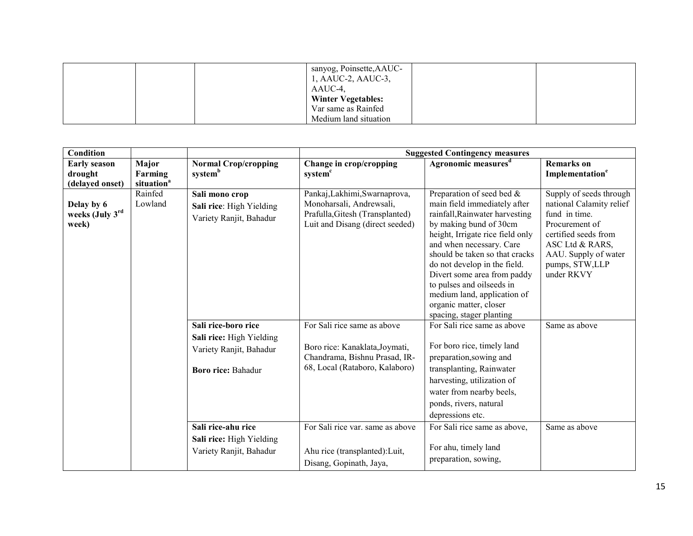|  | sanyog, Poinsette, AAUC-<br>1, AAUC-2, AAUC-3, |  |
|--|------------------------------------------------|--|
|  | AAUC-4,                                        |  |
|  | <b>Winter Vegetables:</b>                      |  |
|  | Var same as Rainfed                            |  |
|  | Medium land situation                          |  |

| <b>Condition</b>                       |                        |                                                                       | <b>Suggested Contingency measures</b>                                                                                           |                                                                                                                                                                                                                                                                                                                                                    |                                                                                                                                                                                           |  |
|----------------------------------------|------------------------|-----------------------------------------------------------------------|---------------------------------------------------------------------------------------------------------------------------------|----------------------------------------------------------------------------------------------------------------------------------------------------------------------------------------------------------------------------------------------------------------------------------------------------------------------------------------------------|-------------------------------------------------------------------------------------------------------------------------------------------------------------------------------------------|--|
| <b>Early season</b>                    | Major                  | <b>Normal Crop/cropping</b>                                           | Change in crop/cropping                                                                                                         | Agronomic measures <sup>d</sup>                                                                                                                                                                                                                                                                                                                    | <b>Remarks</b> on                                                                                                                                                                         |  |
| drought                                | Farming                | system <sup>b</sup>                                                   | system <sup>c</sup>                                                                                                             |                                                                                                                                                                                                                                                                                                                                                    | Implementation <sup>e</sup>                                                                                                                                                               |  |
| (delayed onset)                        | situation <sup>a</sup> |                                                                       |                                                                                                                                 |                                                                                                                                                                                                                                                                                                                                                    |                                                                                                                                                                                           |  |
| Delay by 6<br>weeks (July 3rd<br>week) | Rainfed<br>Lowland     | Sali mono crop<br>Sali rice: High Yielding<br>Variety Ranjit, Bahadur | Pankaj, Lakhimi, Swarnaprova,<br>Monoharsali, Andrewsali,<br>Prafulla, Gitesh (Transplanted)<br>Luit and Disang (direct seeded) | Preparation of seed bed &<br>main field immediately after<br>rainfall, Rainwater harvesting<br>by making bund of 30cm<br>height, Irrigate rice field only<br>and when necessary. Care<br>should be taken so that cracks<br>do not develop in the field.<br>Divert some area from paddy<br>to pulses and oilseeds in<br>medium land, application of | Supply of seeds through<br>national Calamity relief<br>fund in time.<br>Procurement of<br>certified seeds from<br>ASC Ltd & RARS,<br>AAU. Supply of water<br>pumps, STW,LLP<br>under RKVY |  |
|                                        |                        |                                                                       |                                                                                                                                 | organic matter, closer<br>spacing, stager planting                                                                                                                                                                                                                                                                                                 |                                                                                                                                                                                           |  |
|                                        |                        | Sali rice-boro rice                                                   | For Sali rice same as above                                                                                                     | For Sali rice same as above                                                                                                                                                                                                                                                                                                                        | Same as above                                                                                                                                                                             |  |
|                                        |                        | Sali rice: High Yielding                                              |                                                                                                                                 |                                                                                                                                                                                                                                                                                                                                                    |                                                                                                                                                                                           |  |
|                                        |                        | Variety Ranjit, Bahadur                                               | Boro rice: Kanaklata, Joymati,                                                                                                  | For boro rice, timely land                                                                                                                                                                                                                                                                                                                         |                                                                                                                                                                                           |  |
|                                        |                        |                                                                       | Chandrama, Bishnu Prasad, IR-                                                                                                   | preparation, sowing and                                                                                                                                                                                                                                                                                                                            |                                                                                                                                                                                           |  |
|                                        |                        | <b>Boro rice: Bahadur</b>                                             | 68, Local (Rataboro, Kalaboro)                                                                                                  | transplanting, Rainwater                                                                                                                                                                                                                                                                                                                           |                                                                                                                                                                                           |  |
|                                        |                        |                                                                       |                                                                                                                                 | harvesting, utilization of                                                                                                                                                                                                                                                                                                                         |                                                                                                                                                                                           |  |
|                                        |                        |                                                                       |                                                                                                                                 | water from nearby beels,                                                                                                                                                                                                                                                                                                                           |                                                                                                                                                                                           |  |
|                                        |                        |                                                                       |                                                                                                                                 | ponds, rivers, natural                                                                                                                                                                                                                                                                                                                             |                                                                                                                                                                                           |  |
|                                        |                        |                                                                       |                                                                                                                                 | depressions etc.                                                                                                                                                                                                                                                                                                                                   |                                                                                                                                                                                           |  |
|                                        |                        | Sali rice-ahu rice                                                    | For Sali rice var. same as above                                                                                                | For Sali rice same as above,                                                                                                                                                                                                                                                                                                                       | Same as above                                                                                                                                                                             |  |
|                                        |                        | Sali rice: High Yielding                                              |                                                                                                                                 |                                                                                                                                                                                                                                                                                                                                                    |                                                                                                                                                                                           |  |
|                                        |                        | Variety Ranjit, Bahadur                                               | Ahu rice (transplanted): Luit,<br>Disang, Gopinath, Jaya,                                                                       | For ahu, timely land<br>preparation, sowing,                                                                                                                                                                                                                                                                                                       |                                                                                                                                                                                           |  |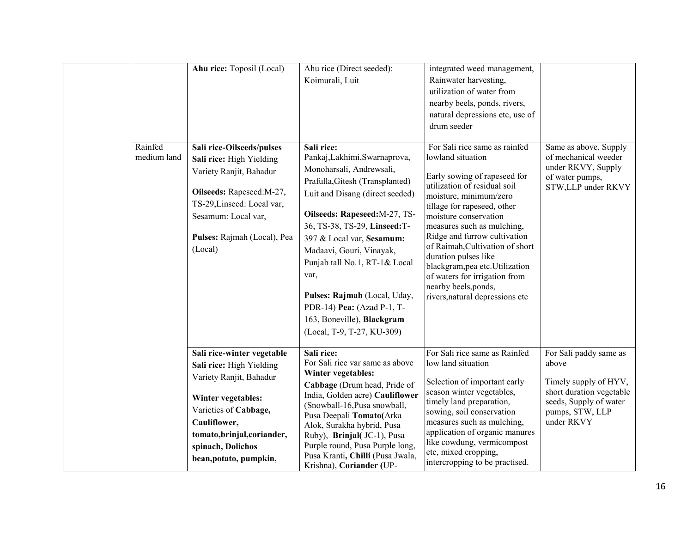|                        | Ahu rice: Toposil (Local)                                                                                                                                                                                                      | Ahu rice (Direct seeded):<br>Koimurali, Luit                                                                                                                                                                                                                                                                                                                                                                                               | integrated weed management,<br>Rainwater harvesting,<br>utilization of water from<br>nearby beels, ponds, rivers,<br>natural depressions etc, use of<br>drum seeder                                                                                                                                                                                                                                                                                          |                                                                                                                                                 |
|------------------------|--------------------------------------------------------------------------------------------------------------------------------------------------------------------------------------------------------------------------------|--------------------------------------------------------------------------------------------------------------------------------------------------------------------------------------------------------------------------------------------------------------------------------------------------------------------------------------------------------------------------------------------------------------------------------------------|--------------------------------------------------------------------------------------------------------------------------------------------------------------------------------------------------------------------------------------------------------------------------------------------------------------------------------------------------------------------------------------------------------------------------------------------------------------|-------------------------------------------------------------------------------------------------------------------------------------------------|
| Rainfed<br>medium land | Sali rice-Oilseeds/pulses<br>Sali rice: High Yielding<br>Variety Ranjit, Bahadur<br>Oilseeds: Rapeseed:M-27,<br>TS-29, Linseed: Local var,<br>Sesamum: Local var,<br>Pulses: Rajmah (Local), Pea<br>(Local)                    | Sali rice:<br>Pankaj, Lakhimi, Swarnaprova,<br>Monoharsali, Andrewsali,<br>Prafulla, Gitesh (Transplanted)<br>Luit and Disang (direct seeded)<br>Oilseeds: Rapeseed: M-27, TS-<br>36, TS-38, TS-29, Linseed:T-<br>397 & Local var, Sesamum:<br>Madaavi, Gouri, Vinayak,<br>Punjab tall No.1, RT-1& Local<br>var,<br>Pulses: Rajmah (Local, Uday,<br>PDR-14) Pea: (Azad P-1, T-<br>163, Boneville), Blackgram<br>(Local, T-9, T-27, KU-309) | For Sali rice same as rainfed<br>lowland situation<br>Early sowing of rapeseed for<br>utilization of residual soil<br>moisture, minimum/zero<br>tillage for rapeseed, other<br>moisture conservation<br>measures such as mulching,<br>Ridge and furrow cultivation<br>of Raimah, Cultivation of short<br>duration pulses like<br>blackgram, pea etc. Utilization<br>of waters for irrigation from<br>nearby beels, ponds,<br>rivers, natural depressions etc | Same as above. Supply<br>of mechanical weeder<br>under RKVY, Supply<br>of water pumps,<br>STW,LLP under RKVY                                    |
|                        | Sali rice-winter vegetable<br>Sali rice: High Yielding<br>Variety Ranjit, Bahadur<br>Winter vegetables:<br>Varieties of Cabbage,<br>Cauliflower,<br>tomato, brinjal, coriander,<br>spinach, Dolichos<br>bean, potato, pumpkin, | Sali rice:<br>For Sali rice var same as above<br>Winter vegetables:<br>Cabbage (Drum head, Pride of<br>India, Golden acre) Cauliflower<br>(Snowball-16, Pusa snowball,<br>Pusa Deepali Tomato(Arka<br>Alok, Surakha hybrid, Pusa<br>Ruby), Brinjal(JC-1), Pusa<br>Purple round, Pusa Purple long,<br>Pusa Kranti, Chilli (Pusa Jwala,<br>Krishna), Coriander (UP-                                                                          | For Sali rice same as Rainfed<br>low land situation<br>Selection of important early<br>season winter vegetables,<br>timely land preparation,<br>sowing, soil conservation<br>measures such as mulching,<br>application of organic manures<br>like cowdung, vermicompost<br>etc, mixed cropping,<br>intercropping to be practised.                                                                                                                            | For Sali paddy same as<br>above<br>Timely supply of HYV,<br>short duration vegetable<br>seeds, Supply of water<br>pumps, STW, LLP<br>under RKVY |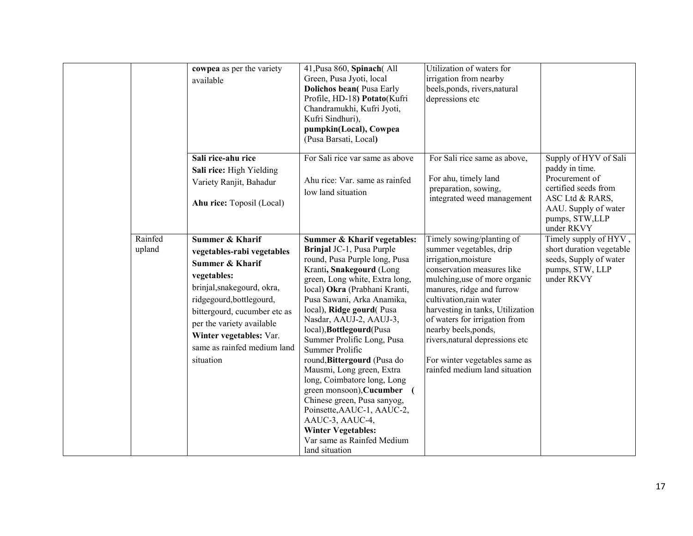|                   | cowpea as per the variety<br>available                                                                                                                                                                                                                                                   | 41, Pusa 860, Spinach (All<br>Green, Pusa Jyoti, local<br><b>Dolichos bean</b> (Pusa Early<br>Profile, HD-18) Potato(Kufri<br>Chandramukhi, Kufri Jyoti,<br>Kufri Sindhuri),<br>pumpkin(Local), Cowpea<br>(Pusa Barsati, Local)                                                                                                                                                                                                                                                                                                                                                                                                                  | Utilization of waters for<br>irrigation from nearby<br>beels, ponds, rivers, natural<br>depressions etc                                                                                                                                                                                                                                                                                               |                                                                                                                                                              |
|-------------------|------------------------------------------------------------------------------------------------------------------------------------------------------------------------------------------------------------------------------------------------------------------------------------------|--------------------------------------------------------------------------------------------------------------------------------------------------------------------------------------------------------------------------------------------------------------------------------------------------------------------------------------------------------------------------------------------------------------------------------------------------------------------------------------------------------------------------------------------------------------------------------------------------------------------------------------------------|-------------------------------------------------------------------------------------------------------------------------------------------------------------------------------------------------------------------------------------------------------------------------------------------------------------------------------------------------------------------------------------------------------|--------------------------------------------------------------------------------------------------------------------------------------------------------------|
|                   | Sali rice-ahu rice<br>Sali rice: High Yielding<br>Variety Ranjit, Bahadur<br>Ahu rice: Toposil (Local)                                                                                                                                                                                   | For Sali rice var same as above<br>Ahu rice: Var. same as rainfed<br>low land situation                                                                                                                                                                                                                                                                                                                                                                                                                                                                                                                                                          | For Sali rice same as above,<br>For ahu, timely land<br>preparation, sowing,<br>integrated weed management                                                                                                                                                                                                                                                                                            | Supply of HYV of Sali<br>paddy in time.<br>Procurement of<br>certified seeds from<br>ASC Ltd & RARS,<br>AAU. Supply of water<br>pumps, STW,LLP<br>under RKVY |
| Rainfed<br>upland | Summer & Kharif<br>vegetables-rabi vegetables<br><b>Summer &amp; Kharif</b><br>vegetables:<br>brinjal, snakegourd, okra,<br>ridgegourd, bottlegourd,<br>bittergourd, cucumber etc as<br>per the variety available<br>Winter vegetables: Var.<br>same as rainfed medium land<br>situation | Summer & Kharif vegetables:<br>Brinjal JC-1, Pusa Purple<br>round, Pusa Purple long, Pusa<br>Kranti, Snakegourd (Long<br>green, Long white, Extra long,<br>local) Okra (Prabhani Kranti,<br>Pusa Sawani, Arka Anamika,<br>local), Ridge gourd(Pusa<br>Nasdar, AAUJ-2, AAUJ-3,<br>local), Bottlegourd(Pusa<br>Summer Prolific Long, Pusa<br>Summer Prolific<br>round, Bittergourd (Pusa do<br>Mausmi, Long green, Extra<br>long, Coimbatore long, Long<br>green monsoon), Cucumber (<br>Chinese green, Pusa sanyog,<br>Poinsette, AAUC-1, AAUC-2,<br>AAUC-3, AAUC-4,<br><b>Winter Vegetables:</b><br>Var same as Rainfed Medium<br>land situation | Timely sowing/planting of<br>summer vegetables, drip<br>irrigation, moisture<br>conservation measures like<br>mulching, use of more organic<br>manures, ridge and furrow<br>cultivation, rain water<br>harvesting in tanks, Utilization<br>of waters for irrigation from<br>nearby beels, ponds,<br>rivers, natural depressions etc<br>For winter vegetables same as<br>rainfed medium land situation | Timely supply of HYV,<br>short duration vegetable<br>seeds, Supply of water<br>pumps, STW, LLP<br>under RKVY                                                 |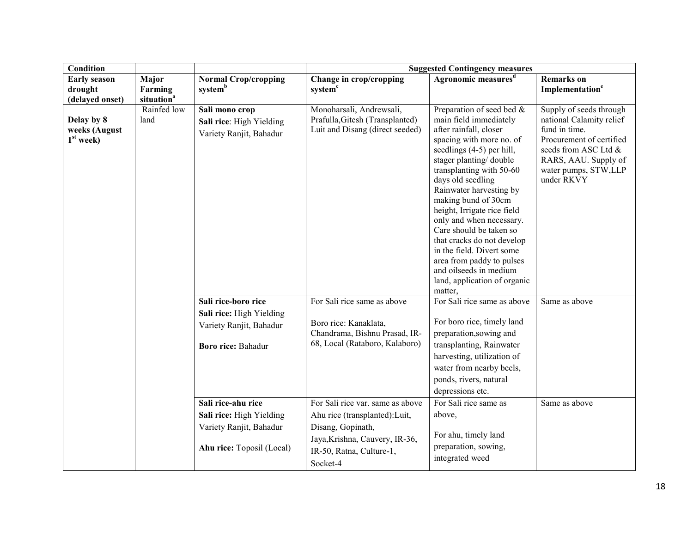| <b>Condition</b>                                  |                                            |                                                                                                         | <b>Suggested Contingency measures</b>                                                                                                                             |                                                                                                                                                                                                                                                                                                                                                                                                                                                                                                                        |                                                                                                                                                                                        |  |
|---------------------------------------------------|--------------------------------------------|---------------------------------------------------------------------------------------------------------|-------------------------------------------------------------------------------------------------------------------------------------------------------------------|------------------------------------------------------------------------------------------------------------------------------------------------------------------------------------------------------------------------------------------------------------------------------------------------------------------------------------------------------------------------------------------------------------------------------------------------------------------------------------------------------------------------|----------------------------------------------------------------------------------------------------------------------------------------------------------------------------------------|--|
| <b>Early season</b><br>drought<br>(delayed onset) | Major<br>Farming<br>situation <sup>a</sup> | <b>Normal Crop/cropping</b><br>systemb                                                                  | Change in crop/cropping<br>system <sup>c</sup>                                                                                                                    | Agronomic measures <sup>d</sup>                                                                                                                                                                                                                                                                                                                                                                                                                                                                                        | <b>Remarks</b> on<br>Implementation <sup>e</sup>                                                                                                                                       |  |
| Delay by 8<br>weeks (August<br>$1st$ week)        | Rainfed low<br>land                        | Sali mono crop<br>Sali rice: High Yielding<br>Variety Ranjit, Bahadur                                   | Monoharsali, Andrewsali,<br>Prafulla, Gitesh (Transplanted)<br>Luit and Disang (direct seeded)                                                                    | Preparation of seed bed &<br>main field immediately<br>after rainfall, closer<br>spacing with more no. of<br>seedlings (4-5) per hill,<br>stager planting/double<br>transplanting with 50-60<br>days old seedling<br>Rainwater harvesting by<br>making bund of 30cm<br>height, Irrigate rice field<br>only and when necessary.<br>Care should be taken so<br>that cracks do not develop<br>in the field. Divert some<br>area from paddy to pulses<br>and oilseeds in medium<br>land, application of organic<br>matter, | Supply of seeds through<br>national Calamity relief<br>fund in time.<br>Procurement of certified<br>seeds from ASC Ltd &<br>RARS, AAU. Supply of<br>water pumps, STW,LLP<br>under RKVY |  |
|                                                   |                                            | Sali rice-boro rice<br>Sali rice: High Yielding<br>Variety Ranjit, Bahadur<br><b>Boro rice: Bahadur</b> | For Sali rice same as above<br>Boro rice: Kanaklata,<br>Chandrama, Bishnu Prasad, IR-<br>68, Local (Rataboro, Kalaboro)                                           | For Sali rice same as above<br>For boro rice, timely land<br>preparation, sowing and<br>transplanting, Rainwater<br>harvesting, utilization of<br>water from nearby beels,<br>ponds, rivers, natural<br>depressions etc.                                                                                                                                                                                                                                                                                               | Same as above                                                                                                                                                                          |  |
|                                                   |                                            | Sali rice-ahu rice<br>Sali rice: High Yielding<br>Variety Ranjit, Bahadur<br>Ahu rice: Toposil (Local)  | For Sali rice var. same as above<br>Ahu rice (transplanted): Luit,<br>Disang, Gopinath,<br>Jaya, Krishna, Cauvery, IR-36,<br>IR-50, Ratna, Culture-1,<br>Socket-4 | For Sali rice same as<br>above,<br>For ahu, timely land<br>preparation, sowing,<br>integrated weed                                                                                                                                                                                                                                                                                                                                                                                                                     | Same as above                                                                                                                                                                          |  |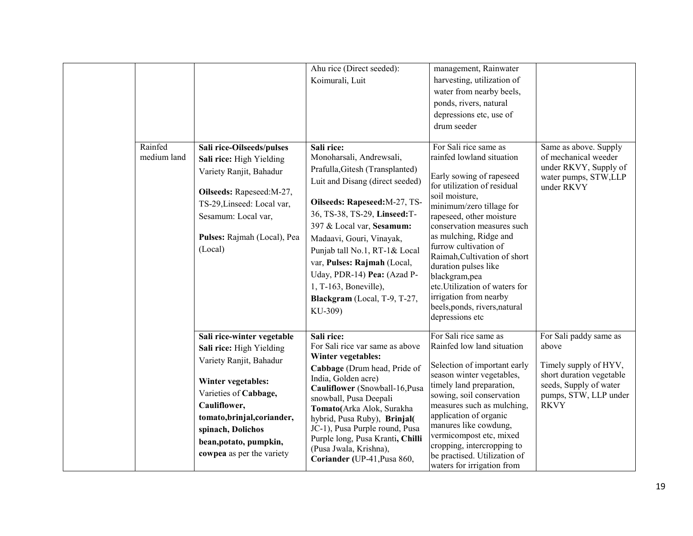|                        |                                                                                                                                                                                                                                                             | Ahu rice (Direct seeded):<br>Koimurali, Luit                                                                                                                                                                                                                                                                                                                                                              | management, Rainwater<br>harvesting, utilization of<br>water from nearby beels,<br>ponds, rivers, natural<br>depressions etc, use of<br>drum seeder                                                                                                                                                                                                                                                                                                                |                                                                                                                                                        |
|------------------------|-------------------------------------------------------------------------------------------------------------------------------------------------------------------------------------------------------------------------------------------------------------|-----------------------------------------------------------------------------------------------------------------------------------------------------------------------------------------------------------------------------------------------------------------------------------------------------------------------------------------------------------------------------------------------------------|--------------------------------------------------------------------------------------------------------------------------------------------------------------------------------------------------------------------------------------------------------------------------------------------------------------------------------------------------------------------------------------------------------------------------------------------------------------------|--------------------------------------------------------------------------------------------------------------------------------------------------------|
| Rainfed<br>medium land | Sali rice-Oilseeds/pulses<br>Sali rice: High Yielding<br>Variety Ranjit, Bahadur<br>Oilseeds: Rapeseed:M-27,<br>TS-29, Linseed: Local var,<br>Sesamum: Local var,<br>Pulses: Rajmah (Local), Pea<br>(Local)                                                 | Sali rice:<br>Monoharsali, Andrewsali,<br>Prafulla, Gitesh (Transplanted)<br>Luit and Disang (direct seeded)<br>Oilseeds: Rapeseed: M-27, TS-<br>36, TS-38, TS-29, Linseed:T-<br>397 & Local var, Sesamum:<br>Madaavi, Gouri, Vinayak,<br>Punjab tall No.1, RT-1& Local<br>var, Pulses: Rajmah (Local,<br>Uday, PDR-14) Pea: (Azad P-<br>1, T-163, Boneville),<br>Blackgram (Local, T-9, T-27,<br>KU-309) | For Sali rice same as<br>rainfed lowland situation<br>Early sowing of rapeseed<br>for utilization of residual<br>soil moisture,<br>minimum/zero tillage for<br>rapeseed, other moisture<br>conservation measures such<br>as mulching, Ridge and<br>furrow cultivation of<br>Raimah, Cultivation of short<br>duration pulses like<br>blackgram, pea<br>etc. Utilization of waters for<br>irrigation from nearby<br>beels, ponds, rivers, natural<br>depressions etc | Same as above. Supply<br>of mechanical weeder<br>under RKVY, Supply of<br>water pumps, STW,LLP<br>under RKVY                                           |
|                        | Sali rice-winter vegetable<br>Sali rice: High Yielding<br>Variety Ranjit, Bahadur<br>Winter vegetables:<br>Varieties of Cabbage,<br>Cauliflower,<br>tomato, brinjal, coriander,<br>spinach, Dolichos<br>bean, potato, pumpkin,<br>cowpea as per the variety | Sali rice:<br>For Sali rice var same as above<br>Winter vegetables:<br>Cabbage (Drum head, Pride of<br>India, Golden acre)<br>Cauliflower (Snowball-16, Pusa<br>snowball, Pusa Deepali<br>Tomato(Arka Alok, Surakha<br>hybrid, Pusa Ruby), Brinjal(<br>JC-1), Pusa Purple round, Pusa<br>Purple long, Pusa Kranti, Chilli<br>(Pusa Jwala, Krishna),<br>Coriander (UP-41, Pusa 860,                        | For Sali rice same as<br>Rainfed low land situation<br>Selection of important early<br>season winter vegetables,<br>timely land preparation,<br>sowing, soil conservation<br>measures such as mulching,<br>application of organic<br>manures like cowdung,<br>vermicompost etc, mixed<br>cropping, intercropping to<br>be practised. Utilization of<br>waters for irrigation from                                                                                  | For Sali paddy same as<br>above<br>Timely supply of HYV,<br>short duration vegetable<br>seeds, Supply of water<br>pumps, STW, LLP under<br><b>RKVY</b> |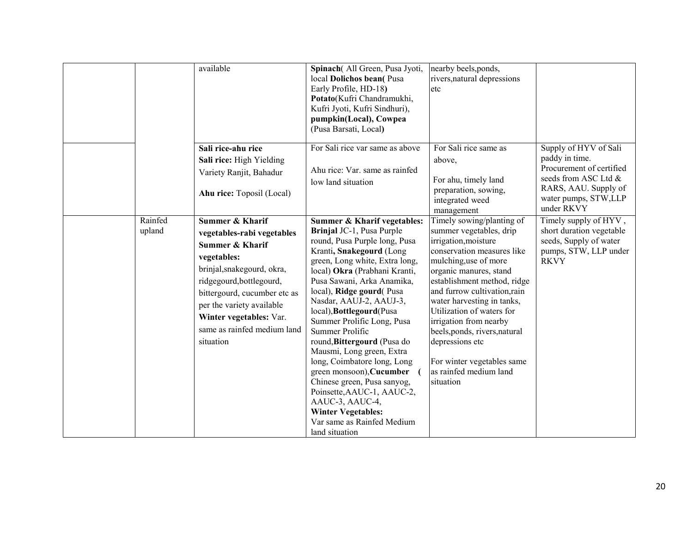|                   | available                                                                                                                                                                                                                                                                                           | Spinach(All Green, Pusa Jyoti,<br>local Dolichos bean(Pusa<br>Early Profile, HD-18)<br>Potato(Kufri Chandramukhi,<br>Kufri Jyoti, Kufri Sindhuri),<br>pumpkin(Local), Cowpea<br>(Pusa Barsati, Local)                                                                                                                                                                                                                                                                                                                                                                                                                                          | nearby beels, ponds,<br>rivers, natural depressions<br>etc                                                                                                                                                                                                                                                                                                                                                                                 |                                                                                                                                                           |
|-------------------|-----------------------------------------------------------------------------------------------------------------------------------------------------------------------------------------------------------------------------------------------------------------------------------------------------|------------------------------------------------------------------------------------------------------------------------------------------------------------------------------------------------------------------------------------------------------------------------------------------------------------------------------------------------------------------------------------------------------------------------------------------------------------------------------------------------------------------------------------------------------------------------------------------------------------------------------------------------|--------------------------------------------------------------------------------------------------------------------------------------------------------------------------------------------------------------------------------------------------------------------------------------------------------------------------------------------------------------------------------------------------------------------------------------------|-----------------------------------------------------------------------------------------------------------------------------------------------------------|
|                   | Sali rice-ahu rice<br>Sali rice: High Yielding<br>Variety Ranjit, Bahadur<br>Ahu rice: Toposil (Local)                                                                                                                                                                                              | For Sali rice var same as above<br>Ahu rice: Var. same as rainfed<br>low land situation                                                                                                                                                                                                                                                                                                                                                                                                                                                                                                                                                        | For Sali rice same as<br>above,<br>For ahu, timely land<br>preparation, sowing,<br>integrated weed<br>management                                                                                                                                                                                                                                                                                                                           | Supply of HYV of Sali<br>paddy in time.<br>Procurement of certified<br>seeds from ASC Ltd &<br>RARS, AAU. Supply of<br>water pumps, STW,LLP<br>under RKVY |
| Rainfed<br>upland | <b>Summer &amp; Kharif</b><br>vegetables-rabi vegetables<br><b>Summer &amp; Kharif</b><br>vegetables:<br>brinjal, snakegourd, okra,<br>ridgegourd, bottlegourd,<br>bittergourd, cucumber etc as<br>per the variety available<br>Winter vegetables: Var.<br>same as rainfed medium land<br>situation | Summer & Kharif vegetables:<br>Brinjal JC-1, Pusa Purple<br>round, Pusa Purple long, Pusa<br>Kranti, Snakegourd (Long<br>green, Long white, Extra long,<br>local) Okra (Prabhani Kranti,<br>Pusa Sawani, Arka Anamika,<br>local), Ridge gourd(Pusa<br>Nasdar, AAUJ-2, AAUJ-3,<br>local), Bottlegourd(Pusa<br>Summer Prolific Long, Pusa<br>Summer Prolific<br>round, Bittergourd (Pusa do<br>Mausmi, Long green, Extra<br>long, Coimbatore long, Long<br>green monsoon), Cucumber<br>Chinese green, Pusa sanyog,<br>Poinsette, AAUC-1, AAUC-2,<br>AAUC-3, AAUC-4,<br><b>Winter Vegetables:</b><br>Var same as Rainfed Medium<br>land situation | Timely sowing/planting of<br>summer vegetables, drip<br>irrigation, moisture<br>conservation measures like<br>mulching, use of more<br>organic manures, stand<br>establishment method, ridge<br>and furrow cultivation, rain<br>water harvesting in tanks,<br>Utilization of waters for<br>irrigation from nearby<br>beels, ponds, rivers, natural<br>depressions etc<br>For winter vegetables same<br>as rainfed medium land<br>situation | Timely supply of HYV,<br>short duration vegetable<br>seeds, Supply of water<br>pumps, STW, LLP under<br><b>RKVY</b>                                       |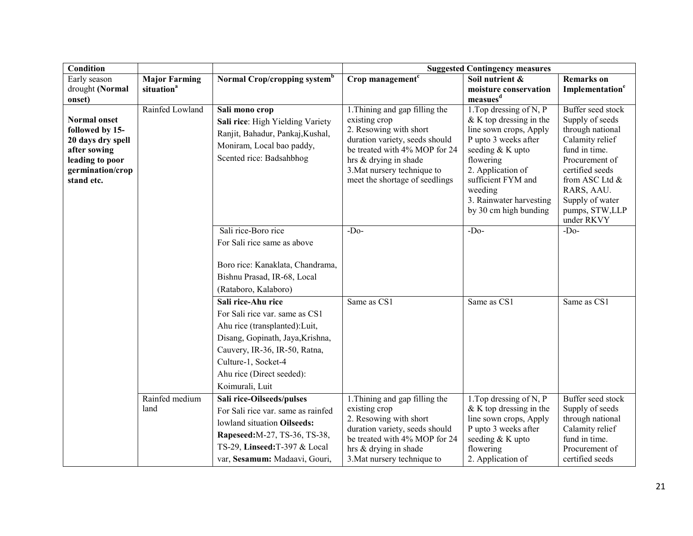| <b>Condition</b>                                                                                                                 |                        |                                                                                                                                                                                                                                    |                                                                                                                                                                                                        | <b>Suggested Contingency measures</b>                                                                                                                                                                                  |                                                                                                                                                                                                 |
|----------------------------------------------------------------------------------------------------------------------------------|------------------------|------------------------------------------------------------------------------------------------------------------------------------------------------------------------------------------------------------------------------------|--------------------------------------------------------------------------------------------------------------------------------------------------------------------------------------------------------|------------------------------------------------------------------------------------------------------------------------------------------------------------------------------------------------------------------------|-------------------------------------------------------------------------------------------------------------------------------------------------------------------------------------------------|
| Early season                                                                                                                     | <b>Major Farming</b>   | Normal Crop/cropping system <sup>b</sup>                                                                                                                                                                                           | Crop management <sup>c</sup>                                                                                                                                                                           | Soil nutrient &                                                                                                                                                                                                        | <b>Remarks</b> on                                                                                                                                                                               |
| drought (Normal                                                                                                                  | situation <sup>a</sup> |                                                                                                                                                                                                                                    |                                                                                                                                                                                                        | moisture conservation                                                                                                                                                                                                  | Implementation <sup>e</sup>                                                                                                                                                                     |
| onset)                                                                                                                           | Rainfed Lowland        | Sali mono crop                                                                                                                                                                                                                     | 1. Thining and gap filling the                                                                                                                                                                         | measues <sup>d</sup><br>1. Top dressing of N, $\overline{P}$                                                                                                                                                           | Buffer seed stock                                                                                                                                                                               |
| <b>Normal onset</b><br>followed by 15-<br>20 days dry spell<br>after sowing<br>leading to poor<br>germination/crop<br>stand etc. |                        | Sali rice: High Yielding Variety<br>Ranjit, Bahadur, Pankaj, Kushal,<br>Moniram, Local bao paddy,<br>Scented rice: Badsahbhog                                                                                                      | existing crop<br>2. Resowing with short<br>duration variety, seeds should<br>be treated with 4% MOP for 24<br>hrs & drying in shade<br>3. Mat nursery technique to<br>meet the shortage of seedlings   | $&$ K top dressing in the<br>line sown crops, Apply<br>P upto 3 weeks after<br>seeding & K upto<br>flowering<br>2. Application of<br>sufficient FYM and<br>weeding<br>3. Rainwater harvesting<br>by 30 cm high bunding | Supply of seeds<br>through national<br>Calamity relief<br>fund in time.<br>Procurement of<br>certified seeds<br>from ASC Ltd &<br>RARS, AAU.<br>Supply of water<br>pumps, STW,LLP<br>under RKVY |
|                                                                                                                                  |                        | Sali rice-Boro rice<br>For Sali rice same as above<br>Boro rice: Kanaklata, Chandrama,<br>Bishnu Prasad, IR-68, Local<br>(Rataboro, Kalaboro)                                                                                      | $-Do-$                                                                                                                                                                                                 | $-Do-$                                                                                                                                                                                                                 | $-Do-$                                                                                                                                                                                          |
|                                                                                                                                  |                        | Sali rice-Ahu rice<br>For Sali rice var. same as CS1<br>Ahu rice (transplanted): Luit,<br>Disang, Gopinath, Jaya, Krishna,<br>Cauvery, IR-36, IR-50, Ratna,<br>Culture-1, Socket-4<br>Ahu rice (Direct seeded):<br>Koimurali, Luit | Same as CS1                                                                                                                                                                                            | Same as CS1                                                                                                                                                                                                            | Same as CS1                                                                                                                                                                                     |
|                                                                                                                                  | Rainfed medium<br>land | Sali rice-Oilseeds/pulses<br>For Sali rice var. same as rainfed<br>lowland situation Oilseeds:<br>Rapeseed: M-27, TS-36, TS-38,<br>TS-29, Linseed:T-397 & Local<br>var, Sesamum: Madaavi, Gouri,                                   | 1. Thining and gap filling the<br>existing crop<br>2. Resowing with short<br>duration variety, seeds should<br>be treated with 4% MOP for 24<br>hrs $&$ drying in shade<br>3. Mat nursery technique to | 1. Top dressing of N, P<br>$&$ K top dressing in the<br>line sown crops, Apply<br>P upto 3 weeks after<br>seeding & K upto<br>flowering<br>2. Application of                                                           | Buffer seed stock<br>Supply of seeds<br>through national<br>Calamity relief<br>fund in time.<br>Procurement of<br>certified seeds                                                               |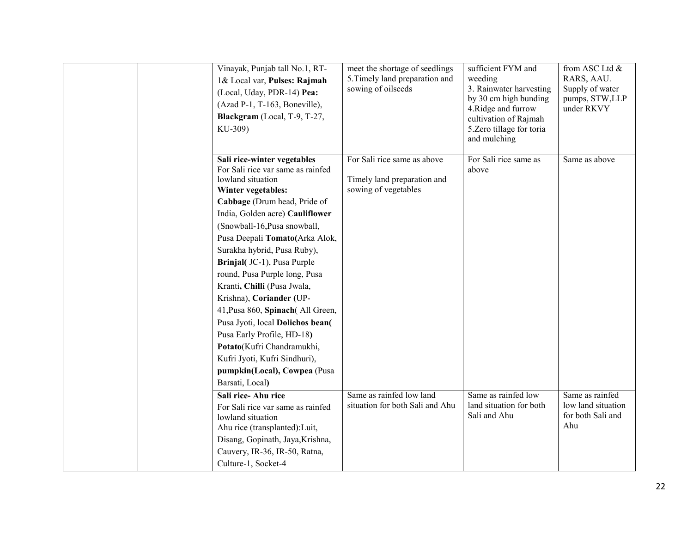| Vinayak, Punjab tall No.1, RT-<br>1& Local var, Pulses: Rajmah<br>(Local, Uday, PDR-14) Pea:<br>(Azad P-1, T-163, Boneville),<br>Blackgram (Local, T-9, T-27,<br>KU-309)                                                                                                                                                                                                                                                                                                                                                                                                                                                           | meet the shortage of seedlings<br>5. Timely land preparation and<br>sowing of oilseeds | sufficient FYM and<br>weeding<br>3. Rainwater harvesting<br>by 30 cm high bunding<br>4. Ridge and furrow<br>cultivation of Rajmah<br>5. Zero tillage for toria<br>and mulching | from ASC Ltd &<br>RARS, AAU.<br>Supply of water<br>pumps, STW,LLP<br>under RKVY |
|------------------------------------------------------------------------------------------------------------------------------------------------------------------------------------------------------------------------------------------------------------------------------------------------------------------------------------------------------------------------------------------------------------------------------------------------------------------------------------------------------------------------------------------------------------------------------------------------------------------------------------|----------------------------------------------------------------------------------------|--------------------------------------------------------------------------------------------------------------------------------------------------------------------------------|---------------------------------------------------------------------------------|
| Sali rice-winter vegetables<br>For Sali rice var same as rainfed<br>lowland situation<br>Winter vegetables:<br>Cabbage (Drum head, Pride of<br>India, Golden acre) Cauliflower<br>(Snowball-16, Pusa snowball,<br>Pusa Deepali Tomato(Arka Alok,<br>Surakha hybrid, Pusa Ruby),<br>Brinjal(JC-1), Pusa Purple<br>round, Pusa Purple long, Pusa<br>Kranti, Chilli (Pusa Jwala,<br>Krishna), Coriander (UP-<br>41, Pusa 860, Spinach (All Green,<br>Pusa Jyoti, local Dolichos bean(<br>Pusa Early Profile, HD-18)<br>Potato(Kufri Chandramukhi,<br>Kufri Jyoti, Kufri Sindhuri),<br>pumpkin(Local), Cowpea (Pusa<br>Barsati, Local) | For Sali rice same as above<br>Timely land preparation and<br>sowing of vegetables     | For Sali rice same as<br>above                                                                                                                                                 | Same as above                                                                   |
| Sali rice-Ahu rice<br>For Sali rice var same as rainfed<br>lowland situation<br>Ahu rice (transplanted): Luit,<br>Disang, Gopinath, Jaya, Krishna,<br>Cauvery, IR-36, IR-50, Ratna,<br>Culture-1, Socket-4                                                                                                                                                                                                                                                                                                                                                                                                                         | Same as rainfed low land<br>situation for both Sali and Ahu                            | Same as rainfed low<br>land situation for both<br>Sali and Ahu                                                                                                                 | Same as rainfed<br>low land situation<br>for both Sali and<br>Ahu               |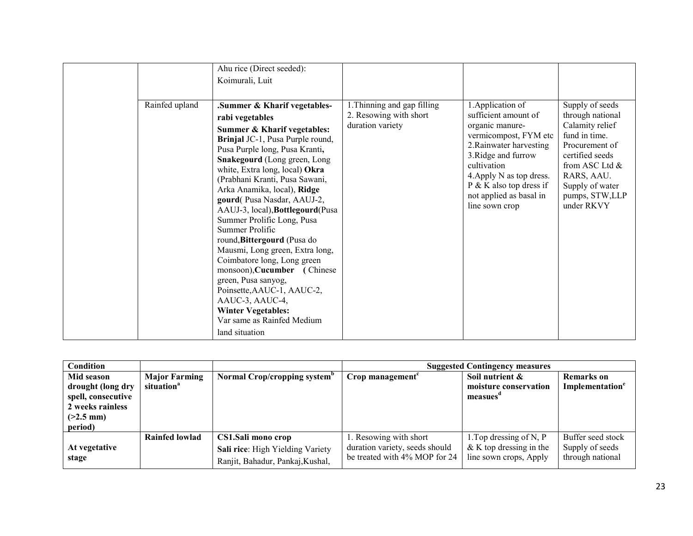|                | Ahu rice (Direct seeded):                                                                                                                                                                                                                                                                                                                                                                                                                                                                                                                                                                                                                                                                      |                                                                           |                                                                                                                                                                                                                                                              |                                                                                                                                                                                                    |
|----------------|------------------------------------------------------------------------------------------------------------------------------------------------------------------------------------------------------------------------------------------------------------------------------------------------------------------------------------------------------------------------------------------------------------------------------------------------------------------------------------------------------------------------------------------------------------------------------------------------------------------------------------------------------------------------------------------------|---------------------------------------------------------------------------|--------------------------------------------------------------------------------------------------------------------------------------------------------------------------------------------------------------------------------------------------------------|----------------------------------------------------------------------------------------------------------------------------------------------------------------------------------------------------|
|                | Koimurali, Luit                                                                                                                                                                                                                                                                                                                                                                                                                                                                                                                                                                                                                                                                                |                                                                           |                                                                                                                                                                                                                                                              |                                                                                                                                                                                                    |
|                |                                                                                                                                                                                                                                                                                                                                                                                                                                                                                                                                                                                                                                                                                                |                                                                           |                                                                                                                                                                                                                                                              |                                                                                                                                                                                                    |
| Rainfed upland | Summer & Kharif vegetables-<br>rabi vegetables<br>Summer & Kharif vegetables:<br>Brinjal JC-1, Pusa Purple round,<br>Pusa Purple long, Pusa Kranti,<br>Snakegourd (Long green, Long<br>white, Extra long, local) Okra<br>(Prabhani Kranti, Pusa Sawani,<br>Arka Anamika, local), Ridge<br>gourd(Pusa Nasdar, AAUJ-2,<br>AAUJ-3, local), Bottlegourd(Pusa<br>Summer Prolific Long, Pusa<br>Summer Prolific<br>round, Bittergourd (Pusa do<br>Mausmi, Long green, Extra long,<br>Coimbatore long, Long green<br>monsoon), Cucumber (Chinese<br>green, Pusa sanyog,<br>Poinsette, AAUC-1, AAUC-2,<br>AAUC-3, AAUC-4,<br><b>Winter Vegetables:</b><br>Var same as Rainfed Medium<br>land situation | 1. Thinning and gap filling<br>2. Resowing with short<br>duration variety | 1. Application of<br>sufficient amount of<br>organic manure-<br>vermicompost, FYM etc<br>2. Rainwater harvesting<br>3. Ridge and furrow<br>cultivation<br>4. Apply N as top dress.<br>$P$ & K also top dress if<br>not applied as basal in<br>line sown crop | Supply of seeds<br>through national<br>Calamity relief<br>fund in time.<br>Procurement of<br>certified seeds<br>from ASC Ltd $\&$<br>RARS, AAU.<br>Supply of water<br>pumps, STW,LLP<br>under RKVY |

| <b>Condition</b>                                                                                    |                                                |                                                                                            | <b>Suggested Contingency measures</b>                                                     |                                                                                  |                                                          |
|-----------------------------------------------------------------------------------------------------|------------------------------------------------|--------------------------------------------------------------------------------------------|-------------------------------------------------------------------------------------------|----------------------------------------------------------------------------------|----------------------------------------------------------|
| Mid season<br>drought (long dry<br>spell, consecutive<br>2 weeks rainless<br>$(>2.5$ mm)<br>period) | <b>Major Farming</b><br>situation <sup>a</sup> | Normal Crop/cropping system <sup>b</sup>                                                   | Crop management <sup>c</sup>                                                              | Soil nutrient &<br>moisture conservation<br>measues"                             | <b>Remarks</b> on<br>Implementation <sup>e</sup>         |
| At vegetative<br>stage                                                                              | <b>Rainfed lowlad</b>                          | CS1.Sali mono crop<br>Sali rice: High Yielding Variety<br>Ranjit, Bahadur, Pankaj, Kushal, | 1. Resowing with short<br>duration variety, seeds should<br>be treated with 4% MOP for 24 | 1. Top dressing of N, $P$<br>$&$ K top dressing in the<br>line sown crops, Apply | Buffer seed stock<br>Supply of seeds<br>through national |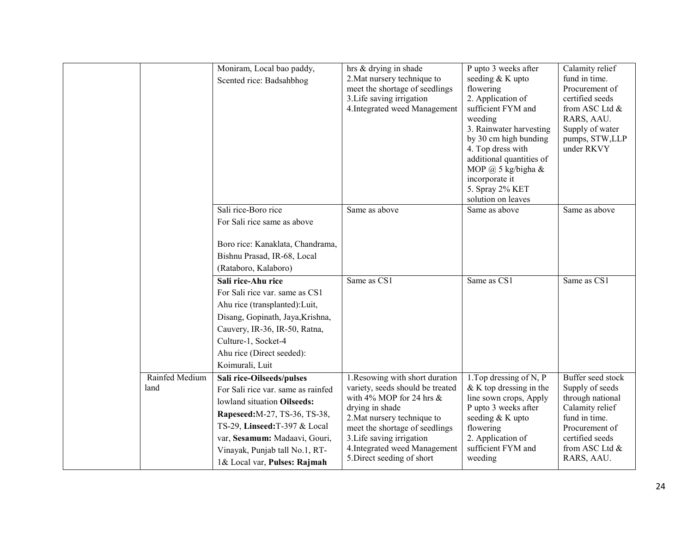|                        | Moniram, Local bao paddy,<br>Scented rice: Badsahbhog                                                                                                                                                                                                              | hrs & drying in shade<br>2. Mat nursery technique to<br>meet the shortage of seedlings<br>3. Life saving irrigation<br>4. Integrated weed Management                                                                                                                               | P upto 3 weeks after<br>seeding & K upto<br>flowering<br>2. Application of<br>sufficient FYM and<br>weeding<br>3. Rainwater harvesting<br>by 30 cm high bunding<br>4. Top dress with<br>additional quantities of | Calamity relief<br>fund in time.<br>Procurement of<br>certified seeds<br>from ASC Ltd &<br>RARS, AAU.<br>Supply of water<br>pumps, STW,LLP<br>under RKVY          |
|------------------------|--------------------------------------------------------------------------------------------------------------------------------------------------------------------------------------------------------------------------------------------------------------------|------------------------------------------------------------------------------------------------------------------------------------------------------------------------------------------------------------------------------------------------------------------------------------|------------------------------------------------------------------------------------------------------------------------------------------------------------------------------------------------------------------|-------------------------------------------------------------------------------------------------------------------------------------------------------------------|
|                        |                                                                                                                                                                                                                                                                    |                                                                                                                                                                                                                                                                                    | MOP $@$ 5 kg/bigha &<br>incorporate it<br>5. Spray 2% KET<br>solution on leaves                                                                                                                                  |                                                                                                                                                                   |
|                        | Sali rice-Boro rice<br>For Sali rice same as above<br>Boro rice: Kanaklata, Chandrama,                                                                                                                                                                             | Same as above                                                                                                                                                                                                                                                                      | Same as above                                                                                                                                                                                                    | Same as above                                                                                                                                                     |
|                        | Bishnu Prasad, IR-68, Local<br>(Rataboro, Kalaboro)                                                                                                                                                                                                                |                                                                                                                                                                                                                                                                                    |                                                                                                                                                                                                                  |                                                                                                                                                                   |
|                        | Sali rice-Ahu rice<br>For Sali rice var. same as CS1<br>Ahu rice (transplanted): Luit,<br>Disang, Gopinath, Jaya, Krishna,<br>Cauvery, IR-36, IR-50, Ratna,<br>Culture-1, Socket-4<br>Ahu rice (Direct seeded):<br>Koimurali, Luit                                 | Same as CS1                                                                                                                                                                                                                                                                        | Same as CS1                                                                                                                                                                                                      | Same as CS1                                                                                                                                                       |
| Rainfed Medium<br>land | Sali rice-Oilseeds/pulses<br>For Sali rice var. same as rainfed<br>lowland situation Oilseeds:<br>Rapeseed: M-27, TS-36, TS-38,<br>TS-29, Linseed:T-397 & Local<br>var, Sesamum: Madaavi, Gouri,<br>Vinayak, Punjab tall No.1, RT-<br>1& Local var, Pulses: Rajmah | 1. Resowing with short duration<br>variety, seeds should be treated<br>with 4% MOP for 24 hrs $\&$<br>drying in shade<br>2. Mat nursery technique to<br>meet the shortage of seedlings<br>3. Life saving irrigation<br>4. Integrated weed Management<br>5. Direct seeding of short | 1. Top dressing of N, P<br>$&$ K top dressing in the<br>line sown crops, Apply<br>P upto 3 weeks after<br>seeding & K upto<br>flowering<br>2. Application of<br>sufficient FYM and<br>weeding                    | Buffer seed stock<br>Supply of seeds<br>through national<br>Calamity relief<br>fund in time.<br>Procurement of<br>certified seeds<br>from ASC Ltd &<br>RARS, AAU. |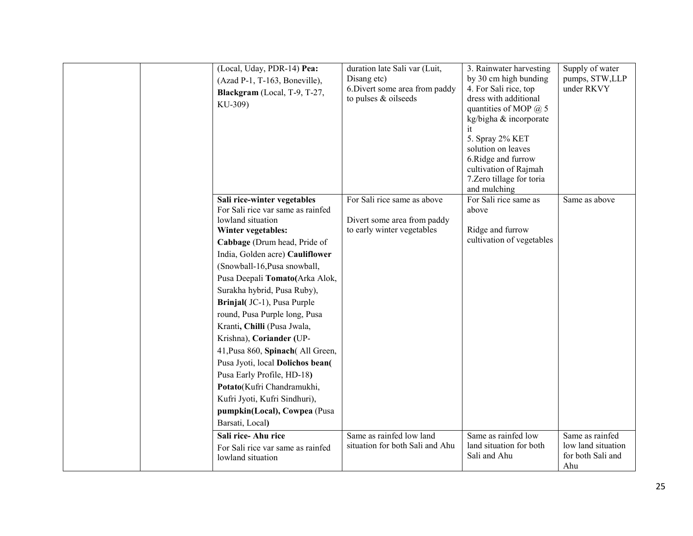| (Local, Uday, PDR-14) Pea:<br>(Azad P-1, T-163, Boneville),<br>Blackgram (Local, T-9, T-27,<br>KU-309)                                                                                                                                                                                                                                                                                                                                                                                                                                                                                                                             | duration late Sali var (Luit,<br>Disang etc)<br>6. Divert some area from paddy<br>to pulses & oilseeds | 3. Rainwater harvesting<br>by 30 cm high bunding<br>4. For Sali rice, top<br>dress with additional<br>quantities of MOP $@$ 5<br>kg/bigha & incorporate<br>it<br>5. Spray 2% KET<br>solution on leaves<br>6.Ridge and furrow<br>cultivation of Rajmah<br>7. Zero tillage for toria<br>and mulching | Supply of water<br>pumps, STW,LLP<br>under RKVY                   |
|------------------------------------------------------------------------------------------------------------------------------------------------------------------------------------------------------------------------------------------------------------------------------------------------------------------------------------------------------------------------------------------------------------------------------------------------------------------------------------------------------------------------------------------------------------------------------------------------------------------------------------|--------------------------------------------------------------------------------------------------------|----------------------------------------------------------------------------------------------------------------------------------------------------------------------------------------------------------------------------------------------------------------------------------------------------|-------------------------------------------------------------------|
| Sali rice-winter vegetables<br>For Sali rice var same as rainfed<br>lowland situation<br>Winter vegetables:<br>Cabbage (Drum head, Pride of<br>India, Golden acre) Cauliflower<br>(Snowball-16, Pusa snowball,<br>Pusa Deepali Tomato(Arka Alok,<br>Surakha hybrid, Pusa Ruby),<br>Brinjal(JC-1), Pusa Purple<br>round, Pusa Purple long, Pusa<br>Kranti, Chilli (Pusa Jwala,<br>Krishna), Coriander (UP-<br>41, Pusa 860, Spinach (All Green,<br>Pusa Jyoti, local Dolichos bean(<br>Pusa Early Profile, HD-18)<br>Potato(Kufri Chandramukhi,<br>Kufri Jyoti, Kufri Sindhuri),<br>pumpkin(Local), Cowpea (Pusa<br>Barsati, Local) | For Sali rice same as above<br>Divert some area from paddy<br>to early winter vegetables               | For Sali rice same as<br>above<br>Ridge and furrow<br>cultivation of vegetables                                                                                                                                                                                                                    | Same as above                                                     |
| Sali rice-Ahu rice<br>For Sali rice var same as rainfed<br>lowland situation                                                                                                                                                                                                                                                                                                                                                                                                                                                                                                                                                       | Same as rainfed low land<br>situation for both Sali and Ahu                                            | Same as rainfed low<br>land situation for both<br>Sali and Ahu                                                                                                                                                                                                                                     | Same as rainfed<br>low land situation<br>for both Sali and<br>Ahu |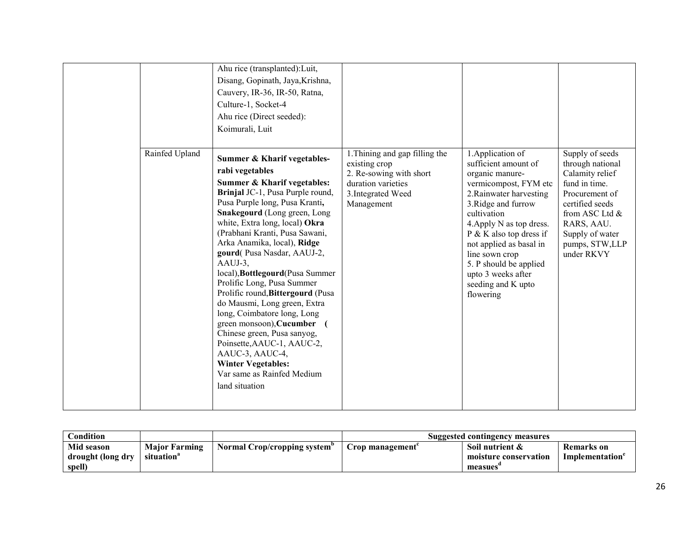| Rainfed Upland | Ahu rice (transplanted): Luit,<br>Disang, Gopinath, Jaya, Krishna,<br>Cauvery, IR-36, IR-50, Ratna,<br>Culture-1, Socket-4<br>Ahu rice (Direct seeded):<br>Koimurali, Luit<br>Summer & Kharif vegetables-                                                                                                                                                                                                                                                                                                                                                                                                                                                                 | 1. Thining and gap filling the                                                                     | 1. Application of                                                                                                                                                                                                                                                                                                          | Supply of seeds                                                                                                                                                              |
|----------------|---------------------------------------------------------------------------------------------------------------------------------------------------------------------------------------------------------------------------------------------------------------------------------------------------------------------------------------------------------------------------------------------------------------------------------------------------------------------------------------------------------------------------------------------------------------------------------------------------------------------------------------------------------------------------|----------------------------------------------------------------------------------------------------|----------------------------------------------------------------------------------------------------------------------------------------------------------------------------------------------------------------------------------------------------------------------------------------------------------------------------|------------------------------------------------------------------------------------------------------------------------------------------------------------------------------|
|                | rabi vegetables<br><b>Summer &amp; Kharif vegetables:</b><br>Brinjal JC-1, Pusa Purple round,<br>Pusa Purple long, Pusa Kranti,<br>Snakegourd (Long green, Long<br>white, Extra long, local) Okra<br>(Prabhani Kranti, Pusa Sawani,<br>Arka Anamika, local), Ridge<br>gourd(Pusa Nasdar, AAUJ-2,<br>AAUJ-3,<br>local), Bottlegourd(Pusa Summer<br>Prolific Long, Pusa Summer<br>Prolific round, Bittergourd (Pusa<br>do Mausmi, Long green, Extra<br>long, Coimbatore long, Long<br>green monsoon), Cucumber<br>Chinese green, Pusa sanyog,<br>Poinsette, AAUC-1, AAUC-2,<br>AAUC-3, AAUC-4,<br><b>Winter Vegetables:</b><br>Var same as Rainfed Medium<br>land situation | existing crop<br>2. Re-sowing with short<br>duration varieties<br>3. Integrated Weed<br>Management | sufficient amount of<br>organic manure-<br>vermicompost, FYM etc<br>2. Rainwater harvesting<br>3. Ridge and furrow<br>cultivation<br>4. Apply N as top dress.<br>$P$ & K also top dress if<br>not applied as basal in<br>line sown crop<br>5. P should be applied<br>upto 3 weeks after<br>seeding and K upto<br>flowering | through national<br>Calamity relief<br>fund in time.<br>Procurement of<br>certified seeds<br>from ASC Ltd &<br>RARS, AAU.<br>Supply of water<br>pumps, STW,LLP<br>under RKVY |

| $\complement$ ondition                    |                                                |                              |                 | Suggested contingency measures                      |                              |
|-------------------------------------------|------------------------------------------------|------------------------------|-----------------|-----------------------------------------------------|------------------------------|
| Mid season<br>drought (long dry<br>spell) | <b>Major Farming</b><br>situation <sup>a</sup> | Normal Crop/cropping system" | Crop management | Soil nutrient &<br>moisture conservation<br>measues | Remarks on<br>Implementation |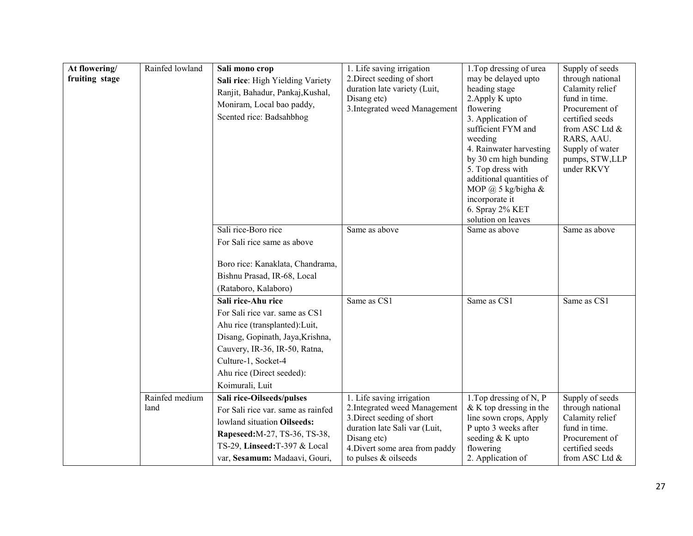| At flowering/<br>fruiting stage | Rainfed lowland        | Sali mono crop<br>Sali rice: High Yielding Variety<br>Ranjit, Bahadur, Pankaj, Kushal,<br>Moniram, Local bao paddy,<br>Scented rice: Badsahbhog                                                                                    | 1. Life saving irrigation<br>2. Direct seeding of short<br>duration late variety (Luit,<br>Disang etc)<br>3. Integrated weed Management                                                            | 1. Top dressing of urea<br>may be delayed upto<br>heading stage<br>2. Apply K upto<br>flowering<br>3. Application of<br>sufficient FYM and<br>weeding<br>4. Rainwater harvesting<br>by 30 cm high bunding<br>5. Top dress with<br>additional quantities of<br>MOP @ 5 kg/bigha &<br>incorporate it<br>6. Spray 2% KET<br>solution on leaves | Supply of seeds<br>through national<br>Calamity relief<br>fund in time.<br>Procurement of<br>certified seeds<br>from ASC Ltd &<br>RARS, AAU.<br>Supply of water<br>pumps, STW,LLP<br>under RKVY |
|---------------------------------|------------------------|------------------------------------------------------------------------------------------------------------------------------------------------------------------------------------------------------------------------------------|----------------------------------------------------------------------------------------------------------------------------------------------------------------------------------------------------|---------------------------------------------------------------------------------------------------------------------------------------------------------------------------------------------------------------------------------------------------------------------------------------------------------------------------------------------|-------------------------------------------------------------------------------------------------------------------------------------------------------------------------------------------------|
|                                 |                        | Sali rice-Boro rice<br>For Sali rice same as above<br>Boro rice: Kanaklata, Chandrama,<br>Bishnu Prasad, IR-68, Local<br>(Rataboro, Kalaboro)                                                                                      | Same as above                                                                                                                                                                                      | Same as above                                                                                                                                                                                                                                                                                                                               | Same as above                                                                                                                                                                                   |
|                                 |                        | Sali rice-Ahu rice<br>For Sali rice var. same as CS1<br>Ahu rice (transplanted): Luit,<br>Disang, Gopinath, Jaya, Krishna,<br>Cauvery, IR-36, IR-50, Ratna,<br>Culture-1, Socket-4<br>Ahu rice (Direct seeded):<br>Koimurali, Luit | Same as CS1                                                                                                                                                                                        | Same as CS1                                                                                                                                                                                                                                                                                                                                 | Same as CS1                                                                                                                                                                                     |
|                                 | Rainfed medium<br>land | Sali rice-Oilseeds/pulses<br>For Sali rice var. same as rainfed<br>lowland situation Oilseeds:<br>Rapeseed: M-27, TS-36, TS-38,<br>TS-29, Linseed:T-397 & Local<br>var, Sesamum: Madaavi, Gouri,                                   | 1. Life saving irrigation<br>2. Integrated weed Management<br>3. Direct seeding of short<br>duration late Sali var (Luit,<br>Disang etc)<br>4. Divert some area from paddy<br>to pulses & oilseeds | 1. Top dressing of N, P<br>$&$ K top dressing in the<br>line sown crops, Apply<br>P upto 3 weeks after<br>seeding & K upto<br>flowering<br>2. Application of                                                                                                                                                                                | Supply of seeds<br>through national<br>Calamity relief<br>fund in time.<br>Procurement of<br>certified seeds<br>from ASC Ltd &                                                                  |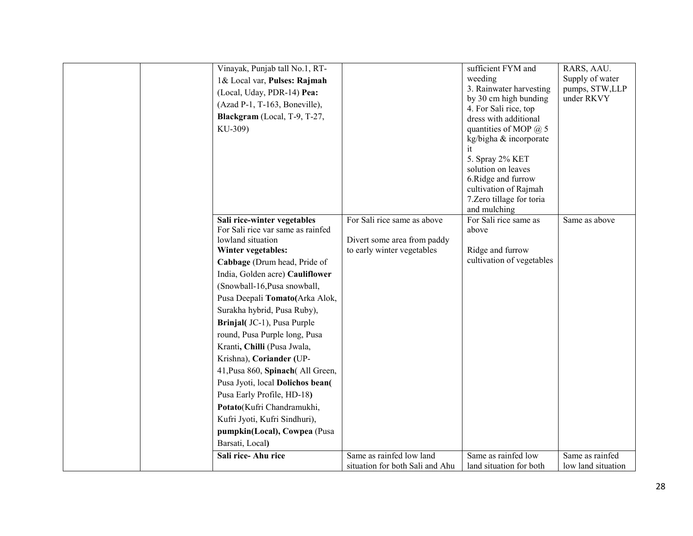| Vinayak, Punjab tall No.1, RT-    |                                 | sufficient FYM and                                 | RARS, AAU.                   |
|-----------------------------------|---------------------------------|----------------------------------------------------|------------------------------|
| 1& Local var, Pulses: Rajmah      |                                 | weeding                                            | Supply of water              |
| (Local, Uday, PDR-14) Pea:        |                                 | 3. Rainwater harvesting                            | pumps, STW,LLP<br>under RKVY |
| (Azad P-1, T-163, Boneville),     |                                 | by 30 cm high bunding<br>4. For Sali rice, top     |                              |
| Blackgram (Local, T-9, T-27,      |                                 | dress with additional                              |                              |
| KU-309)                           |                                 | quantities of MOP $@$ 5                            |                              |
|                                   |                                 | kg/bigha & incorporate                             |                              |
|                                   |                                 | it                                                 |                              |
|                                   |                                 | 5. Spray 2% KET                                    |                              |
|                                   |                                 | solution on leaves                                 |                              |
|                                   |                                 | 6.Ridge and furrow                                 |                              |
|                                   |                                 | cultivation of Rajmah<br>7. Zero tillage for toria |                              |
|                                   |                                 | and mulching                                       |                              |
| Sali rice-winter vegetables       | For Sali rice same as above     | For Sali rice same as                              | Same as above                |
| For Sali rice var same as rainfed |                                 | above                                              |                              |
| lowland situation                 | Divert some area from paddy     |                                                    |                              |
| Winter vegetables:                | to early winter vegetables      | Ridge and furrow                                   |                              |
| Cabbage (Drum head, Pride of      |                                 | cultivation of vegetables                          |                              |
| India, Golden acre) Cauliflower   |                                 |                                                    |                              |
| (Snowball-16, Pusa snowball,      |                                 |                                                    |                              |
| Pusa Deepali Tomato(Arka Alok,    |                                 |                                                    |                              |
| Surakha hybrid, Pusa Ruby),       |                                 |                                                    |                              |
| Brinjal(JC-1), Pusa Purple        |                                 |                                                    |                              |
| round, Pusa Purple long, Pusa     |                                 |                                                    |                              |
| Kranti, Chilli (Pusa Jwala,       |                                 |                                                    |                              |
| Krishna), Coriander (UP-          |                                 |                                                    |                              |
| 41, Pusa 860, Spinach (All Green, |                                 |                                                    |                              |
| Pusa Jyoti, local Dolichos bean(  |                                 |                                                    |                              |
| Pusa Early Profile, HD-18)        |                                 |                                                    |                              |
| Potato(Kufri Chandramukhi,        |                                 |                                                    |                              |
| Kufri Jyoti, Kufri Sindhuri),     |                                 |                                                    |                              |
| pumpkin(Local), Cowpea (Pusa      |                                 |                                                    |                              |
| Barsati, Local)                   |                                 |                                                    |                              |
| Sali rice-Ahu rice                | Same as rainfed low land        | Same as rainfed low                                | Same as rainfed              |
|                                   | situation for both Sali and Ahu | land situation for both                            | low land situation           |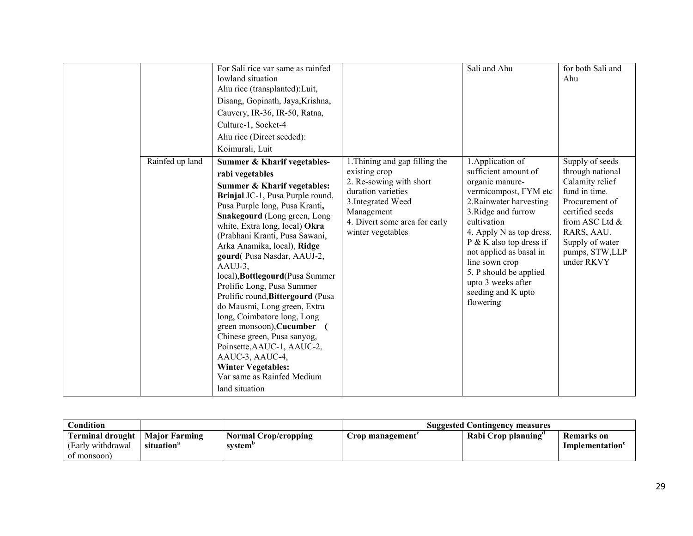|                 | For Sali rice var same as rainfed<br>lowland situation<br>Ahu rice (transplanted): Luit,<br>Disang, Gopinath, Jaya, Krishna,<br>Cauvery, IR-36, IR-50, Ratna,<br>Culture-1, Socket-4<br>Ahu rice (Direct seeded):<br>Koimurali, Luit                                                                                                                                                                                                                                                                                                                                                                                                                                                                      |                                                                                                                                                                                            | Sali and Ahu                                                                                                                                                                                                                                                                                                                                     | for both Sali and<br>Ahu                                                                                                                                                                        |
|-----------------|-----------------------------------------------------------------------------------------------------------------------------------------------------------------------------------------------------------------------------------------------------------------------------------------------------------------------------------------------------------------------------------------------------------------------------------------------------------------------------------------------------------------------------------------------------------------------------------------------------------------------------------------------------------------------------------------------------------|--------------------------------------------------------------------------------------------------------------------------------------------------------------------------------------------|--------------------------------------------------------------------------------------------------------------------------------------------------------------------------------------------------------------------------------------------------------------------------------------------------------------------------------------------------|-------------------------------------------------------------------------------------------------------------------------------------------------------------------------------------------------|
| Rainfed up land | Summer & Kharif vegetables-<br>rabi vegetables<br><b>Summer &amp; Kharif vegetables:</b><br>Brinjal JC-1, Pusa Purple round,<br>Pusa Purple long, Pusa Kranti,<br>Snakegourd (Long green, Long<br>white, Extra long, local) Okra<br>(Prabhani Kranti, Pusa Sawani,<br>Arka Anamika, local), Ridge<br>gourd(Pusa Nasdar, AAUJ-2,<br>AAUJ-3,<br>local), Bottlegourd (Pusa Summer<br>Prolific Long, Pusa Summer<br>Prolific round, Bittergourd (Pusa<br>do Mausmi, Long green, Extra<br>long, Coimbatore long, Long<br>green monsoon), Cucumber<br>Chinese green, Pusa sanyog,<br>Poinsette, AAUC-1, AAUC-2,<br>AAUC-3, AAUC-4,<br><b>Winter Vegetables:</b><br>Var same as Rainfed Medium<br>land situation | 1. Thining and gap filling the<br>existing crop<br>2. Re-sowing with short<br>duration varieties<br>3. Integrated Weed<br>Management<br>4. Divert some area for early<br>winter vegetables | 1. Application of<br>sufficient amount of<br>organic manure-<br>vermicompost, FYM etc<br>2. Rainwater harvesting<br>3. Ridge and furrow<br>cultivation<br>4. Apply N as top dress.<br>$P \& K$ also top dress if<br>not applied as basal in<br>line sown crop<br>5. P should be applied<br>upto 3 weeks after<br>seeding and K upto<br>flowering | Supply of seeds<br>through national<br>Calamity relief<br>fund in time.<br>Procurement of<br>certified seeds<br>from ASC Ltd &<br>RARS, AAU.<br>Supply of water<br>pumps, STW,LLP<br>under RKVY |

| Condition                                                   |                                                |                                                    | <b>Suggested Contingency measures</b> |                    |                              |  |
|-------------------------------------------------------------|------------------------------------------------|----------------------------------------------------|---------------------------------------|--------------------|------------------------------|--|
| <b>Terminal drought</b><br>(Early withdrawal)<br>of monsoon | <b>Maior Farming</b><br>situation <sup>®</sup> | <b>Normal Crop/cropping</b><br>system <sup>'</sup> | Crop management`                      | Rabi Crop planning | Remarks on<br>Implementation |  |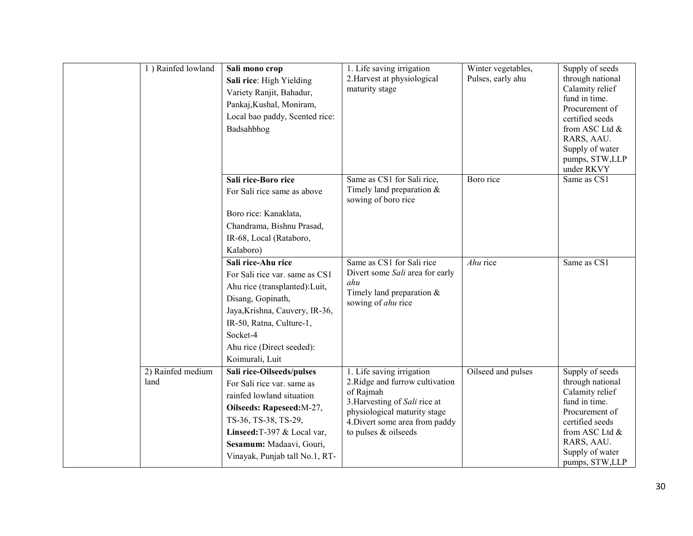| 1) Rainfed lowland        | Sali mono crop<br>Sali rice: High Yielding<br>Variety Ranjit, Bahadur,<br>Pankaj, Kushal, Moniram,<br>Local bao paddy, Scented rice:<br>Badsahbhog                                                                                     | 1. Life saving irrigation<br>2. Harvest at physiological<br>maturity stage                                                                                                                           | Winter vegetables,<br>Pulses, early ahu | Supply of seeds<br>through national<br>Calamity relief<br>fund in time.<br>Procurement of<br>certified seeds<br>from ASC Ltd &<br>RARS, AAU.<br>Supply of water<br>pumps, STW,LLP<br>under RKVY |
|---------------------------|----------------------------------------------------------------------------------------------------------------------------------------------------------------------------------------------------------------------------------------|------------------------------------------------------------------------------------------------------------------------------------------------------------------------------------------------------|-----------------------------------------|-------------------------------------------------------------------------------------------------------------------------------------------------------------------------------------------------|
|                           | Sali rice-Boro rice<br>For Sali rice same as above<br>Boro rice: Kanaklata,<br>Chandrama, Bishnu Prasad,<br>IR-68, Local (Rataboro,<br>Kalaboro)                                                                                       | Same as CS1 for Sali rice,<br>Timely land preparation $\&$<br>sowing of boro rice                                                                                                                    | Boro rice                               | Same as CS1                                                                                                                                                                                     |
|                           | Sali rice-Ahu rice<br>For Sali rice var. same as CS1<br>Ahu rice (transplanted): Luit,<br>Disang, Gopinath,<br>Jaya, Krishna, Cauvery, IR-36,<br>IR-50, Ratna, Culture-1,<br>Socket-4<br>Ahu rice (Direct seeded):<br>Koimurali, Luit  | Same as CS1 for Sali rice<br>Divert some Sali area for early<br>ahu<br>Timely land preparation $&$<br>sowing of ahu rice                                                                             | Ahu rice                                | Same as CS1                                                                                                                                                                                     |
| 2) Rainfed medium<br>land | Sali rice-Oilseeds/pulses<br>For Sali rice var, same as<br>rainfed lowland situation<br>Oilseeds: Rapeseed: M-27,<br>TS-36, TS-38, TS-29,<br>Linseed: T-397 & Local var,<br>Sesamum: Madaavi, Gouri,<br>Vinayak, Punjab tall No.1, RT- | 1. Life saving irrigation<br>2. Ridge and furrow cultivation<br>of Rajmah<br>3. Harvesting of Sali rice at<br>physiological maturity stage<br>4. Divert some area from paddy<br>to pulses & oilseeds | Oilseed and pulses                      | Supply of seeds<br>through national<br>Calamity relief<br>fund in time.<br>Procurement of<br>certified seeds<br>from ASC Ltd &<br>RARS, AAU.<br>Supply of water<br>pumps, STW,LLP               |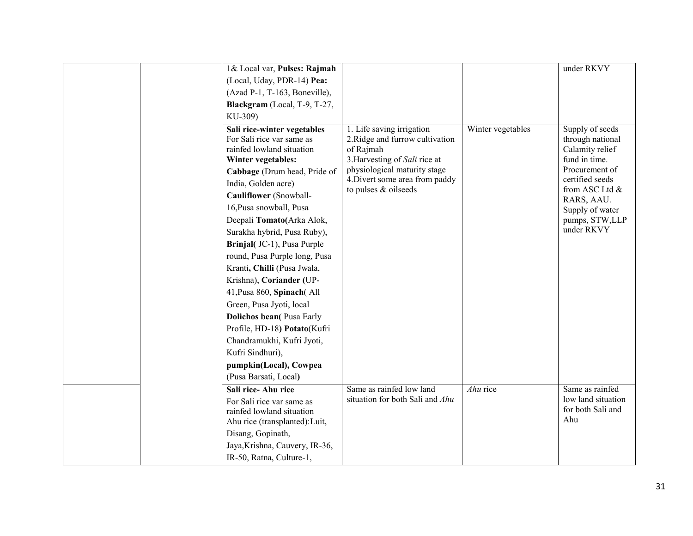|  | 1& Local var, Pulses: Rajmah     |                                                                |                   | under RKVY                        |
|--|----------------------------------|----------------------------------------------------------------|-------------------|-----------------------------------|
|  | (Local, Uday, PDR-14) Pea:       |                                                                |                   |                                   |
|  | (Azad P-1, T-163, Boneville),    |                                                                |                   |                                   |
|  | Blackgram (Local, T-9, T-27,     |                                                                |                   |                                   |
|  | KU-309)                          |                                                                |                   |                                   |
|  | Sali rice-winter vegetables      | 1. Life saving irrigation                                      | Winter vegetables | Supply of seeds                   |
|  | For Sali rice var same as        | 2. Ridge and furrow cultivation                                |                   | through national                  |
|  | rainfed lowland situation        | of Rajmah                                                      |                   | Calamity relief                   |
|  | Winter vegetables:               | 3. Harvesting of Sali rice at                                  |                   | fund in time.                     |
|  | Cabbage (Drum head, Pride of     | physiological maturity stage<br>4. Divert some area from paddy |                   | Procurement of<br>certified seeds |
|  | India, Golden acre)              | to pulses & oilseeds                                           |                   | from ASC Ltd &                    |
|  | Cauliflower (Snowball-           |                                                                |                   | RARS, AAU.                        |
|  | 16, Pusa snowball, Pusa          |                                                                |                   | Supply of water                   |
|  | Deepali Tomato(Arka Alok,        |                                                                |                   | pumps, STW,LLP                    |
|  | Surakha hybrid, Pusa Ruby),      |                                                                |                   | under RKVY                        |
|  | Brinjal(JC-1), Pusa Purple       |                                                                |                   |                                   |
|  | round, Pusa Purple long, Pusa    |                                                                |                   |                                   |
|  | Kranti, Chilli (Pusa Jwala,      |                                                                |                   |                                   |
|  | Krishna), Coriander (UP-         |                                                                |                   |                                   |
|  | 41, Pusa 860, Spinach(All        |                                                                |                   |                                   |
|  | Green, Pusa Jyoti, local         |                                                                |                   |                                   |
|  | <b>Dolichos bean</b> (Pusa Early |                                                                |                   |                                   |
|  | Profile, HD-18) Potato(Kufri     |                                                                |                   |                                   |
|  | Chandramukhi, Kufri Jyoti,       |                                                                |                   |                                   |
|  | Kufri Sindhuri),                 |                                                                |                   |                                   |
|  | pumpkin(Local), Cowpea           |                                                                |                   |                                   |
|  | (Pusa Barsati, Local)            |                                                                |                   |                                   |
|  | Sali rice-Ahu rice               | Same as rainfed low land                                       | Ahu rice          | Same as rainfed                   |
|  | For Sali rice var same as        | situation for both Sali and Ahu                                |                   | low land situation                |
|  | rainfed lowland situation        |                                                                |                   | for both Sali and<br>Ahu          |
|  | Ahu rice (transplanted): Luit,   |                                                                |                   |                                   |
|  | Disang, Gopinath,                |                                                                |                   |                                   |
|  | Jaya, Krishna, Cauvery, IR-36,   |                                                                |                   |                                   |
|  | IR-50, Ratna, Culture-1,         |                                                                |                   |                                   |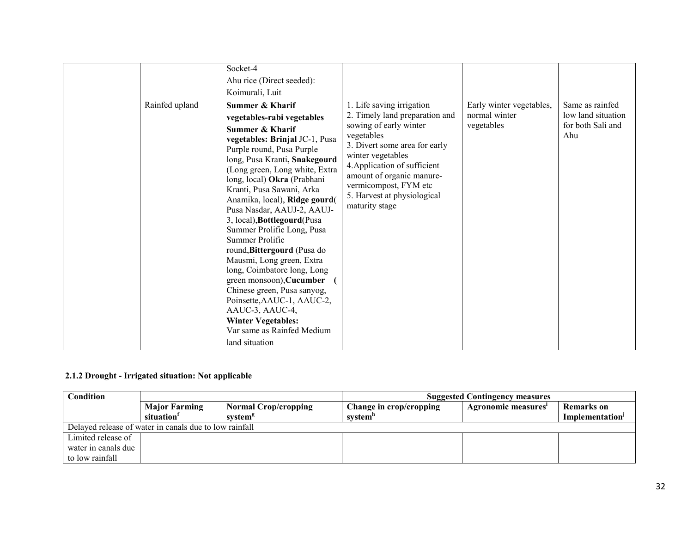|                | Socket-4<br>Ahu rice (Direct seeded):                                                                                                                                                                                                                                                                                                                                                                                                                                                                                                                                                                                                                                                                        |                                                                                                                                                                                                                                                                                                  |                                                         |                                                                   |
|----------------|--------------------------------------------------------------------------------------------------------------------------------------------------------------------------------------------------------------------------------------------------------------------------------------------------------------------------------------------------------------------------------------------------------------------------------------------------------------------------------------------------------------------------------------------------------------------------------------------------------------------------------------------------------------------------------------------------------------|--------------------------------------------------------------------------------------------------------------------------------------------------------------------------------------------------------------------------------------------------------------------------------------------------|---------------------------------------------------------|-------------------------------------------------------------------|
|                | Koimurali, Luit                                                                                                                                                                                                                                                                                                                                                                                                                                                                                                                                                                                                                                                                                              |                                                                                                                                                                                                                                                                                                  |                                                         |                                                                   |
| Rainfed upland | Summer & Kharif<br>vegetables-rabi vegetables<br><b>Summer &amp; Kharif</b><br>vegetables: Brinjal JC-1, Pusa<br>Purple round, Pusa Purple<br>long, Pusa Kranti, Snakegourd<br>(Long green, Long white, Extra<br>long, local) Okra (Prabhani<br>Kranti, Pusa Sawani, Arka<br>Anamika, local), Ridge gourd(<br>Pusa Nasdar, AAUJ-2, AAUJ-<br>3, local), Bottlegourd(Pusa<br>Summer Prolific Long, Pusa<br>Summer Prolific<br>round, Bittergourd (Pusa do<br>Mausmi, Long green, Extra<br>long, Coimbatore long, Long<br>green monsoon), Cucumber<br>Chinese green, Pusa sanyog,<br>Poinsette, AAUC-1, AAUC-2,<br>AAUC-3, AAUC-4,<br><b>Winter Vegetables:</b><br>Var same as Rainfed Medium<br>land situation | 1. Life saving irrigation<br>2. Timely land preparation and<br>sowing of early winter<br>vegetables<br>3. Divert some area for early<br>winter vegetables<br>4. Application of sufficient<br>amount of organic manure-<br>vermicompost, FYM etc<br>5. Harvest at physiological<br>maturity stage | Early winter vegetables,<br>normal winter<br>vegetables | Same as rainfed<br>low land situation<br>for both Sali and<br>Ahu |

#### 2.1.2 Drought - Irrigated situation: Not applicable

| Condition           |                                                        |                                                    | <b>Suggested Contingency measures</b> |                    |                                                  |  |
|---------------------|--------------------------------------------------------|----------------------------------------------------|---------------------------------------|--------------------|--------------------------------------------------|--|
|                     | <b>Major Farming</b><br>situation'                     | <b>Normal Crop/cropping</b><br>system <sup>s</sup> | Change in crop/cropping<br>system"    | Agronomic measures | <b>Remarks</b> on<br>Implementation <sup>1</sup> |  |
|                     | Delayed release of water in canals due to low rainfall |                                                    |                                       |                    |                                                  |  |
| Limited release of  |                                                        |                                                    |                                       |                    |                                                  |  |
| water in canals due |                                                        |                                                    |                                       |                    |                                                  |  |
| to low rainfall     |                                                        |                                                    |                                       |                    |                                                  |  |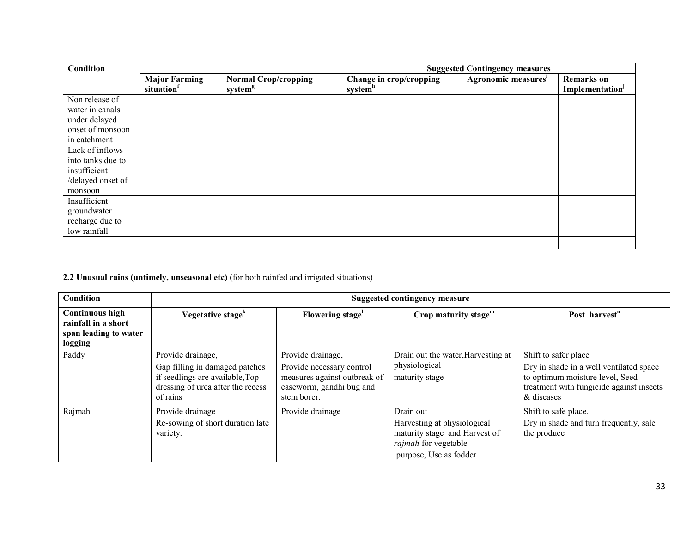| Condition         |                                   |                                                    | <b>Suggested Contingency measures</b>          |                                 |                                                  |
|-------------------|-----------------------------------|----------------------------------------------------|------------------------------------------------|---------------------------------|--------------------------------------------------|
|                   | <b>Major Farming</b><br>situation | <b>Normal Crop/cropping</b><br>system <sup>g</sup> | Change in crop/cropping<br>system <sup>h</sup> | Agronomic measures <sup>i</sup> | <b>Remarks</b> on<br>Implementation <sup>j</sup> |
| Non release of    |                                   |                                                    |                                                |                                 |                                                  |
| water in canals   |                                   |                                                    |                                                |                                 |                                                  |
| under delayed     |                                   |                                                    |                                                |                                 |                                                  |
| onset of monsoon  |                                   |                                                    |                                                |                                 |                                                  |
| in catchment      |                                   |                                                    |                                                |                                 |                                                  |
| Lack of inflows   |                                   |                                                    |                                                |                                 |                                                  |
| into tanks due to |                                   |                                                    |                                                |                                 |                                                  |
| insufficient      |                                   |                                                    |                                                |                                 |                                                  |
| /delayed onset of |                                   |                                                    |                                                |                                 |                                                  |
| monsoon           |                                   |                                                    |                                                |                                 |                                                  |
| Insufficient      |                                   |                                                    |                                                |                                 |                                                  |
| groundwater       |                                   |                                                    |                                                |                                 |                                                  |
| recharge due to   |                                   |                                                    |                                                |                                 |                                                  |
| low rainfall      |                                   |                                                    |                                                |                                 |                                                  |
|                   |                                   |                                                    |                                                |                                 |                                                  |

2.2 Unusual rains (untimely, unseasonal etc) (for both rainfed and irrigated situations)

| Condition                                                                                |                                                                                                                                         |                                                                                                                           | <b>Suggested contingency measure</b>                                                                                               |                                                                                                                                                              |
|------------------------------------------------------------------------------------------|-----------------------------------------------------------------------------------------------------------------------------------------|---------------------------------------------------------------------------------------------------------------------------|------------------------------------------------------------------------------------------------------------------------------------|--------------------------------------------------------------------------------------------------------------------------------------------------------------|
| <b>Continuous high</b><br>rainfall in a short<br>span leading to water<br><b>logging</b> | Vegetative stage <sup>k</sup>                                                                                                           | Flowering stage <sup>1</sup>                                                                                              | Crop maturity stage $m$                                                                                                            | Post harvest <sup>n</sup>                                                                                                                                    |
| Paddy                                                                                    | Provide drainage,<br>Gap filling in damaged patches<br>if seedlings are available, Top<br>dressing of urea after the recess<br>of rains | Provide drainage,<br>Provide necessary control<br>measures against outbreak of<br>caseworm, gandhi bug and<br>stem borer. | Drain out the water, Harvesting at<br>physiological<br>maturity stage                                                              | Shift to safer place<br>Dry in shade in a well ventilated space<br>to optimum moisture level, Seed<br>treatment with fungicide against insects<br>& diseases |
| Rajmah                                                                                   | Provide drainage<br>Re-sowing of short duration late<br>variety.                                                                        | Provide drainage                                                                                                          | Drain out<br>Harvesting at physiological<br>maturity stage and Harvest of<br><i>rajmah</i> for vegetable<br>purpose, Use as fodder | Shift to safe place.<br>Dry in shade and turn frequently, sale<br>the produce                                                                                |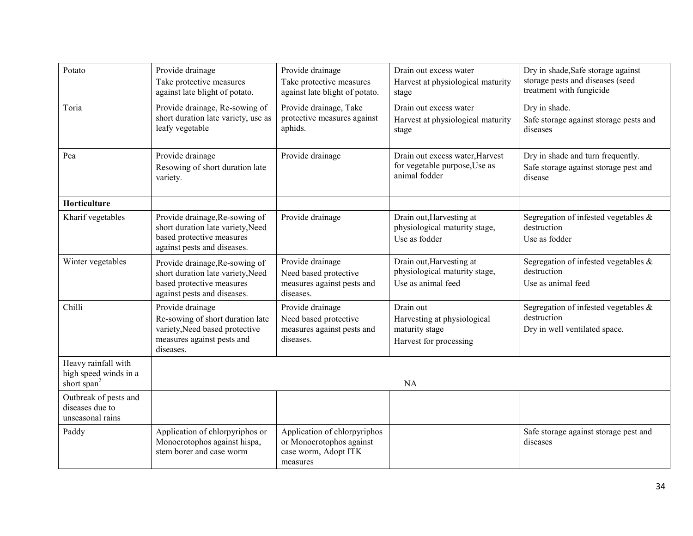| Potato                                                                  | Provide drainage<br>Take protective measures<br>against late blight of potato.                                                    | Provide drainage<br>Take protective measures<br>against late blight of potato.               | Drain out excess water<br>Harvest at physiological maturity<br>stage                 | Dry in shade, Safe storage against<br>storage pests and diseases (seed<br>treatment with fungicide |
|-------------------------------------------------------------------------|-----------------------------------------------------------------------------------------------------------------------------------|----------------------------------------------------------------------------------------------|--------------------------------------------------------------------------------------|----------------------------------------------------------------------------------------------------|
| Toria                                                                   | Provide drainage, Re-sowing of<br>short duration late variety, use as<br>leafy vegetable                                          | Provide drainage, Take<br>protective measures against<br>aphids.                             | Drain out excess water<br>Harvest at physiological maturity<br>stage                 | Dry in shade.<br>Safe storage against storage pests and<br>diseases                                |
| Pea                                                                     | Provide drainage<br>Resowing of short duration late<br>variety.                                                                   | Provide drainage                                                                             | Drain out excess water, Harvest<br>for vegetable purpose, Use as<br>animal fodder    | Dry in shade and turn frequently.<br>Safe storage against storage pest and<br>disease              |
| Horticulture                                                            |                                                                                                                                   |                                                                                              |                                                                                      |                                                                                                    |
| Kharif vegetables                                                       | Provide drainage, Re-sowing of<br>short duration late variety, Need<br>based protective measures<br>against pests and diseases.   | Provide drainage                                                                             | Drain out, Harvesting at<br>physiological maturity stage,<br>Use as fodder           | Segregation of infested vegetables $\&$<br>destruction<br>Use as fodder                            |
| Winter vegetables                                                       | Provide drainage, Re-sowing of<br>short duration late variety, Need<br>based protective measures<br>against pests and diseases.   | Provide drainage<br>Need based protective<br>measures against pests and<br>diseases.         | Drain out, Harvesting at<br>physiological maturity stage,<br>Use as animal feed      | Segregation of infested vegetables $\&$<br>destruction<br>Use as animal feed                       |
| Chilli                                                                  | Provide drainage<br>Re-sowing of short duration late<br>variety, Need based protective<br>measures against pests and<br>diseases. | Provide drainage<br>Need based protective<br>measures against pests and<br>diseases.         | Drain out<br>Harvesting at physiological<br>maturity stage<br>Harvest for processing | Segregation of infested vegetables $\&$<br>destruction<br>Dry in well ventilated space.            |
| Heavy rainfall with<br>high speed winds in a<br>short span <sup>2</sup> |                                                                                                                                   |                                                                                              | NA                                                                                   |                                                                                                    |
| Outbreak of pests and<br>diseases due to<br>unseasonal rains            |                                                                                                                                   |                                                                                              |                                                                                      |                                                                                                    |
| Paddy                                                                   | Application of chlorpyriphos or<br>Monocrotophos against hispa,<br>stem borer and case worm                                       | Application of chlorpyriphos<br>or Monocrotophos against<br>case worm, Adopt ITK<br>measures |                                                                                      | Safe storage against storage pest and<br>diseases                                                  |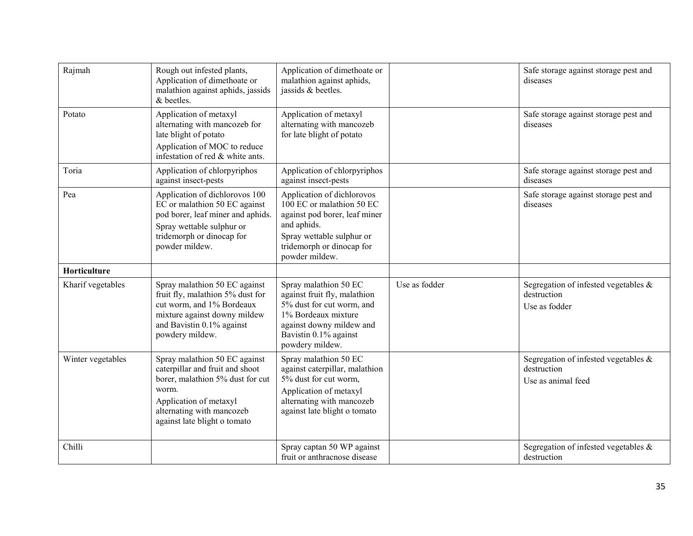| Rajmah            | Rough out infested plants,<br>Application of dimethoate or<br>malathion against aphids, jassids<br>& beetles.                                                                                        | Application of dimethoate or<br>malathion against aphids,<br>jassids & beetles.                                                                                                     |               | Safe storage against storage pest and<br>diseases                            |
|-------------------|------------------------------------------------------------------------------------------------------------------------------------------------------------------------------------------------------|-------------------------------------------------------------------------------------------------------------------------------------------------------------------------------------|---------------|------------------------------------------------------------------------------|
| Potato            | Application of metaxyl<br>alternating with mancozeb for<br>late blight of potato<br>Application of MOC to reduce<br>infestation of red & white ants.                                                 | Application of metaxyl<br>alternating with mancozeb<br>for late blight of potato                                                                                                    |               | Safe storage against storage pest and<br>diseases                            |
| Toria             | Application of chlorpyriphos<br>against insect-pests                                                                                                                                                 | Application of chlorpyriphos<br>against insect-pests                                                                                                                                |               | Safe storage against storage pest and<br>diseases                            |
| Pea               | Application of dichlorovos 100<br>EC or malathion 50 EC against<br>pod borer, leaf miner and aphids.<br>Spray wettable sulphur or<br>tridemorph or dinocap for<br>powder mildew.                     | Application of dichlorovos<br>100 EC or malathion 50 EC<br>against pod borer, leaf miner<br>and aphids.<br>Spray wettable sulphur or<br>tridemorph or dinocap for<br>powder mildew. |               | Safe storage against storage pest and<br>diseases                            |
| Horticulture      |                                                                                                                                                                                                      |                                                                                                                                                                                     |               |                                                                              |
| Kharif vegetables | Spray malathion 50 EC against<br>fruit fly, malathion 5% dust for<br>cut worm, and 1% Bordeaux<br>mixture against downy mildew<br>and Bavistin 0.1% against<br>powdery mildew.                       | Spray malathion 50 EC<br>against fruit fly, malathion<br>5% dust for cut worm, and<br>1% Bordeaux mixture<br>against downy mildew and<br>Bavistin 0.1% against<br>powdery mildew.   | Use as fodder | Segregation of infested vegetables $\&$<br>destruction<br>Use as fodder      |
| Winter vegetables | Spray malathion 50 EC against<br>caterpillar and fruit and shoot<br>borer, malathion 5% dust for cut<br>worm.<br>Application of metaxyl<br>alternating with mancozeb<br>against late blight o tomato | Spray malathion 50 EC<br>against caterpillar, malathion<br>5% dust for cut worm.<br>Application of metaxyl<br>alternating with mancozeb<br>against late blight o tomato             |               | Segregation of infested vegetables $\&$<br>destruction<br>Use as animal feed |
| Chilli            |                                                                                                                                                                                                      | Spray captan 50 WP against<br>fruit or anthracnose disease                                                                                                                          |               | Segregation of infested vegetables $\&$<br>destruction                       |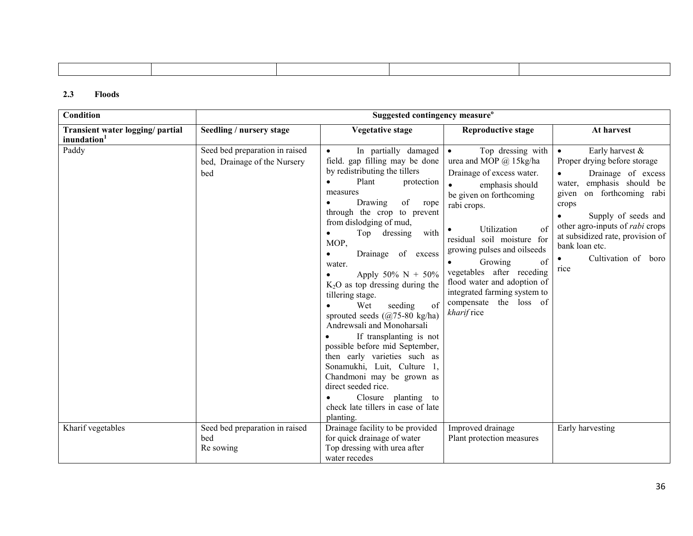#### 2.3 Floods

| Condition                                                   |                                                                       | Suggested contingency measure <sup>o</sup>                                                                                                                                                                                                                                                                                                                                                                                                                                                                                                                                                                                                                                                                                                                     |                                                                                                                                                                                                                                                                                                                                                                                                |                                                                                                                                                                                                                                                                                                                                          |
|-------------------------------------------------------------|-----------------------------------------------------------------------|----------------------------------------------------------------------------------------------------------------------------------------------------------------------------------------------------------------------------------------------------------------------------------------------------------------------------------------------------------------------------------------------------------------------------------------------------------------------------------------------------------------------------------------------------------------------------------------------------------------------------------------------------------------------------------------------------------------------------------------------------------------|------------------------------------------------------------------------------------------------------------------------------------------------------------------------------------------------------------------------------------------------------------------------------------------------------------------------------------------------------------------------------------------------|------------------------------------------------------------------------------------------------------------------------------------------------------------------------------------------------------------------------------------------------------------------------------------------------------------------------------------------|
| Transient water logging/ partial<br>inundation <sup>1</sup> | Seedling / nursery stage                                              | <b>Vegetative stage</b>                                                                                                                                                                                                                                                                                                                                                                                                                                                                                                                                                                                                                                                                                                                                        | <b>Reproductive stage</b>                                                                                                                                                                                                                                                                                                                                                                      | At harvest                                                                                                                                                                                                                                                                                                                               |
| Paddy                                                       | Seed bed preparation in raised<br>bed, Drainage of the Nursery<br>bed | In partially damaged<br>field. gap filling may be done<br>by redistributing the tillers<br>Plant<br>protection<br>$\bullet$<br>measures<br>Drawing<br>of<br>rope<br>$\bullet$<br>through the crop to prevent<br>from dislodging of mud,<br>Top dressing with<br>٠<br>MOP,<br>Drainage of excess<br>$\bullet$<br>water.<br>Apply 50% N + 50%<br>$K2O$ as top dressing during the<br>tillering stage.<br>of<br>Wet<br>seeding<br>sprouted seeds $(Q75-80 \text{ kg/ha})$<br>Andrewsali and Monoharsali<br>If transplanting is not<br>possible before mid September,<br>then early varieties such as<br>Sonamukhi, Luit, Culture 1,<br>Chandmoni may be grown as<br>direct seeded rice.<br>Closure planting to<br>check late tillers in case of late<br>planting. | Top dressing with<br>$\bullet$<br>urea and MOP $(a)$ 15kg/ha<br>Drainage of excess water.<br>emphasis should<br>be given on forthcoming<br>rabi crops.<br>Utilization<br>of<br>residual soil moisture for<br>growing pulses and oilseeds<br>Growing<br>of<br>vegetables after receding<br>flood water and adoption of<br>integrated farming system to<br>compensate the loss of<br>kharif rice | Early harvest &<br>$\bullet$<br>Proper drying before storage<br>Drainage of excess<br>$\bullet$<br>water, emphasis should be<br>on forthcoming rabi<br>given<br>crops<br>Supply of seeds and<br>$\bullet$<br>other agro-inputs of <i>rabi</i> crops<br>at subsidized rate, provision of<br>bank loan etc.<br>Cultivation of boro<br>rice |
| Kharif vegetables                                           | Seed bed preparation in raised<br>bed<br>Re sowing                    | Drainage facility to be provided<br>for quick drainage of water<br>Top dressing with urea after<br>water recedes                                                                                                                                                                                                                                                                                                                                                                                                                                                                                                                                                                                                                                               | Improved drainage<br>Plant protection measures                                                                                                                                                                                                                                                                                                                                                 | Early harvesting                                                                                                                                                                                                                                                                                                                         |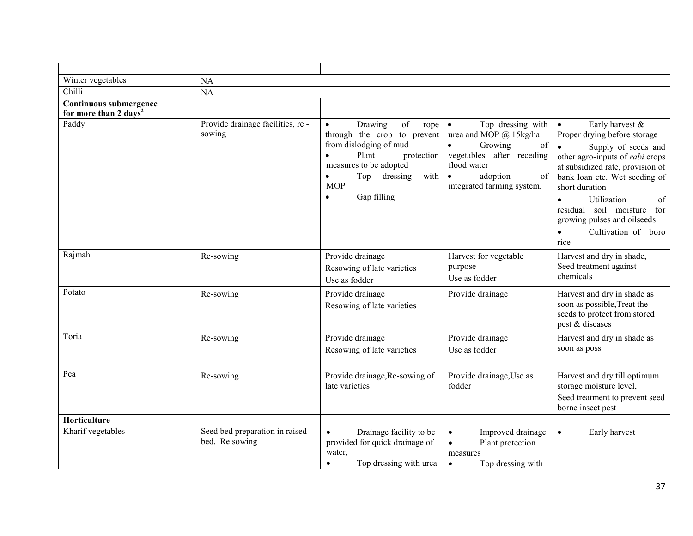| Winter vegetables                                           | NA                                               |                                                                                                                                                                                                                   |                                                                                                                                                                                                 |                                                                                                                                                                                                                                                                                                                        |
|-------------------------------------------------------------|--------------------------------------------------|-------------------------------------------------------------------------------------------------------------------------------------------------------------------------------------------------------------------|-------------------------------------------------------------------------------------------------------------------------------------------------------------------------------------------------|------------------------------------------------------------------------------------------------------------------------------------------------------------------------------------------------------------------------------------------------------------------------------------------------------------------------|
| Chilli                                                      | NA                                               |                                                                                                                                                                                                                   |                                                                                                                                                                                                 |                                                                                                                                                                                                                                                                                                                        |
| Continuous submergence<br>for more than 2 days <sup>2</sup> |                                                  |                                                                                                                                                                                                                   |                                                                                                                                                                                                 |                                                                                                                                                                                                                                                                                                                        |
| Paddy                                                       | Provide drainage facilities, re-<br>sowing       | of<br>Drawing<br>$\bullet$<br>rope<br>through the crop to prevent<br>from dislodging of mud<br>Plant<br>protection<br>$\bullet$<br>measures to be adopted<br>dressing<br>Top<br>with<br><b>MOP</b><br>Gap filling | Top dressing with<br>$\bullet$<br>urea and MOP @ 15kg/ha<br>$\bullet$<br>Growing<br>of<br>vegetables after receding<br>flood water<br>adoption<br>of<br>$\bullet$<br>integrated farming system. | Early harvest &<br>$\bullet$<br>Proper drying before storage<br>Supply of seeds and<br>other agro-inputs of <i>rabi</i> crops<br>at subsidized rate, provision of<br>bank loan etc. Wet seeding of<br>short duration<br>Utilization<br>of<br>$\bullet$<br>residual soil moisture<br>for<br>growing pulses and oilseeds |
|                                                             |                                                  |                                                                                                                                                                                                                   |                                                                                                                                                                                                 | Cultivation of boro<br>$\bullet$<br>rice                                                                                                                                                                                                                                                                               |
| Rajmah                                                      | Re-sowing                                        | Provide drainage<br>Resowing of late varieties<br>Use as fodder                                                                                                                                                   | Harvest for vegetable<br>purpose<br>Use as fodder                                                                                                                                               | Harvest and dry in shade,<br>Seed treatment against<br>chemicals                                                                                                                                                                                                                                                       |
| Potato                                                      | Re-sowing                                        | Provide drainage<br>Resowing of late varieties                                                                                                                                                                    | Provide drainage                                                                                                                                                                                | Harvest and dry in shade as<br>soon as possible, Treat the<br>seeds to protect from stored<br>pest & diseases                                                                                                                                                                                                          |
| Toria                                                       | Re-sowing                                        | Provide drainage<br>Resowing of late varieties                                                                                                                                                                    | Provide drainage<br>Use as fodder                                                                                                                                                               | Harvest and dry in shade as<br>soon as poss                                                                                                                                                                                                                                                                            |
| Pea                                                         | Re-sowing                                        | Provide drainage, Re-sowing of<br>late varieties                                                                                                                                                                  | Provide drainage, Use as<br>fodder                                                                                                                                                              | Harvest and dry till optimum<br>storage moisture level,<br>Seed treatment to prevent seed<br>borne insect pest                                                                                                                                                                                                         |
| Horticulture                                                |                                                  |                                                                                                                                                                                                                   |                                                                                                                                                                                                 |                                                                                                                                                                                                                                                                                                                        |
| Kharif vegetables                                           | Seed bed preparation in raised<br>bed, Re sowing | Drainage facility to be<br>$\bullet$<br>provided for quick drainage of<br>water,<br>Top dressing with urea<br>$\bullet$                                                                                           | Improved drainage<br>$\bullet$<br>Plant protection<br>$\bullet$<br>measures<br>Top dressing with<br>$\bullet$                                                                                   | Early harvest<br>$\bullet$                                                                                                                                                                                                                                                                                             |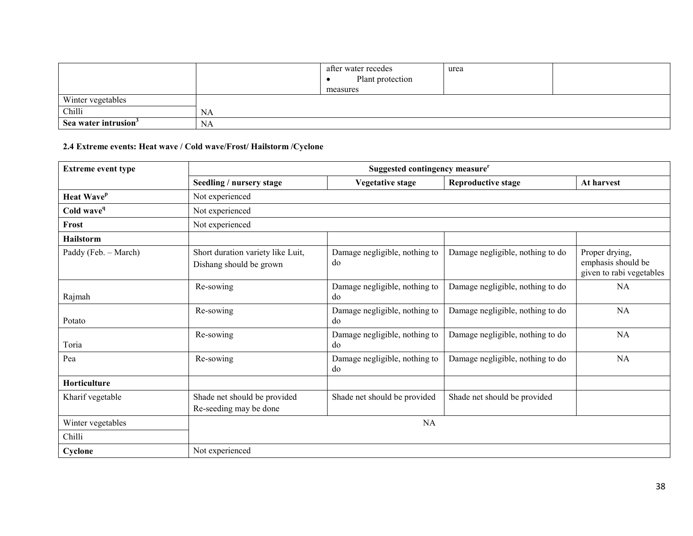|                                  |    | after water recedes | urea |  |
|----------------------------------|----|---------------------|------|--|
|                                  |    | Plant protection    |      |  |
|                                  |    | measures            |      |  |
| Winter vegetables                |    |                     |      |  |
| Chilli                           | NA |                     |      |  |
| Sea water intrusion <sup>3</sup> | NA |                     |      |  |

#### 2.4 Extreme events: Heat wave / Cold wave/Frost/ Hailstorm /Cyclone

| <b>Extreme event type</b> | Suggested contingency measure <sup>r</sup>                   |                                     |                                  |                                                                  |  |  |
|---------------------------|--------------------------------------------------------------|-------------------------------------|----------------------------------|------------------------------------------------------------------|--|--|
|                           | Seedling / nursery stage                                     | <b>Vegetative stage</b>             | <b>Reproductive stage</b>        | At harvest                                                       |  |  |
| Heat Wave <sup>p</sup>    | Not experienced                                              |                                     |                                  |                                                                  |  |  |
| Cold wave <sup>q</sup>    | Not experienced                                              |                                     |                                  |                                                                  |  |  |
| Frost                     | Not experienced                                              |                                     |                                  |                                                                  |  |  |
| <b>Hailstorm</b>          |                                                              |                                     |                                  |                                                                  |  |  |
| Paddy (Feb. – March)      | Short duration variety like Luit,<br>Dishang should be grown | Damage negligible, nothing to<br>do | Damage negligible, nothing to do | Proper drying,<br>emphasis should be<br>given to rabi vegetables |  |  |
| Rajmah                    | Re-sowing                                                    | Damage negligible, nothing to<br>do | Damage negligible, nothing to do | NA                                                               |  |  |
| Potato                    | Re-sowing                                                    | Damage negligible, nothing to<br>do | Damage negligible, nothing to do | NA                                                               |  |  |
| Toria                     | Re-sowing                                                    | Damage negligible, nothing to<br>do | Damage negligible, nothing to do | <b>NA</b>                                                        |  |  |
| Pea                       | Re-sowing                                                    | Damage negligible, nothing to<br>do | Damage negligible, nothing to do | <b>NA</b>                                                        |  |  |
| Horticulture              |                                                              |                                     |                                  |                                                                  |  |  |
| Kharif vegetable          | Shade net should be provided<br>Re-seeding may be done       | Shade net should be provided        | Shade net should be provided     |                                                                  |  |  |
| Winter vegetables         |                                                              | NA                                  |                                  |                                                                  |  |  |
| Chilli                    |                                                              |                                     |                                  |                                                                  |  |  |
| Cyclone                   | Not experienced                                              |                                     |                                  |                                                                  |  |  |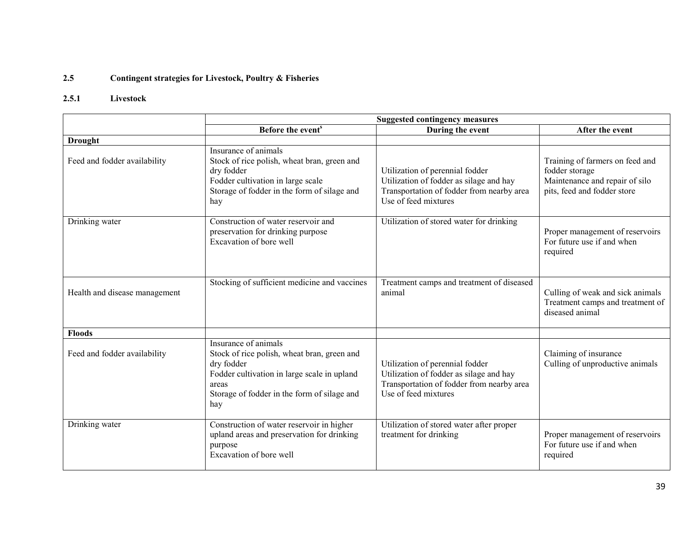#### 2.5Contingent strategies for Livestock, Poultry & Fisheries

### 2.5.1 Livestock

|                               | <b>Suggested contingency measures</b>                                                                                                                                                           |                                                                                                                                                 |                                                                                                                    |  |
|-------------------------------|-------------------------------------------------------------------------------------------------------------------------------------------------------------------------------------------------|-------------------------------------------------------------------------------------------------------------------------------------------------|--------------------------------------------------------------------------------------------------------------------|--|
|                               | Before the event <sup>s</sup>                                                                                                                                                                   | During the event                                                                                                                                | After the event                                                                                                    |  |
| <b>Drought</b>                |                                                                                                                                                                                                 |                                                                                                                                                 |                                                                                                                    |  |
| Feed and fodder availability  | Insurance of animals<br>Stock of rice polish, wheat bran, green and<br>dry fodder<br>Fodder cultivation in large scale<br>Storage of fodder in the form of silage and<br>hay                    | Utilization of perennial fodder<br>Utilization of fodder as silage and hay<br>Transportation of fodder from nearby area<br>Use of feed mixtures | Training of farmers on feed and<br>fodder storage<br>Maintenance and repair of silo<br>pits, feed and fodder store |  |
| Drinking water                | Construction of water reservoir and<br>preservation for drinking purpose<br>Excavation of bore well                                                                                             | Utilization of stored water for drinking                                                                                                        | Proper management of reservoirs<br>For future use if and when<br>required                                          |  |
| Health and disease management | Stocking of sufficient medicine and vaccines                                                                                                                                                    | Treatment camps and treatment of diseased<br>animal                                                                                             | Culling of weak and sick animals<br>Treatment camps and treatment of<br>diseased animal                            |  |
| <b>Floods</b>                 |                                                                                                                                                                                                 |                                                                                                                                                 |                                                                                                                    |  |
| Feed and fodder availability  | Insurance of animals<br>Stock of rice polish, wheat bran, green and<br>dry fodder<br>Fodder cultivation in large scale in upland<br>areas<br>Storage of fodder in the form of silage and<br>hay | Utilization of perennial fodder<br>Utilization of fodder as silage and hay<br>Transportation of fodder from nearby area<br>Use of feed mixtures | Claiming of insurance<br>Culling of unproductive animals                                                           |  |
| Drinking water                | Construction of water reservoir in higher<br>upland areas and preservation for drinking<br>purpose<br>Excavation of bore well                                                                   | Utilization of stored water after proper<br>treatment for drinking                                                                              | Proper management of reservoirs<br>For future use if and when<br>required                                          |  |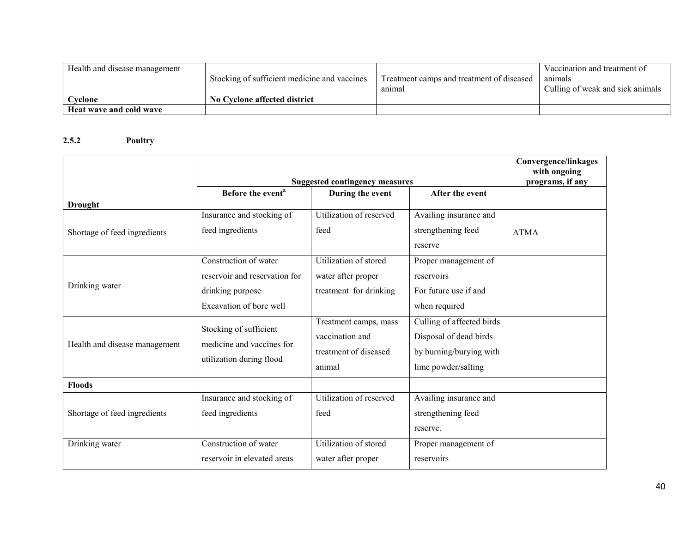| Health and disease management |                                              |                                           | Vaccination and treatment of     |
|-------------------------------|----------------------------------------------|-------------------------------------------|----------------------------------|
|                               | Stocking of sufficient medicine and vaccines | Treatment camps and treatment of diseased | animals                          |
|                               |                                              | anımal                                    | Culling of weak and sick animals |
| Cvclone                       | No Cyclone affected district                 |                                           |                                  |
| Heat wave and cold wave       |                                              |                                           |                                  |

#### 2.5.2 Poultry

|                               | <b>Suggested contingency measures</b>               |                         |                           | <b>Convergence/linkages</b><br>with ongoing<br>programs, if any |
|-------------------------------|-----------------------------------------------------|-------------------------|---------------------------|-----------------------------------------------------------------|
|                               | Before the event <sup>a</sup>                       | During the event        | After the event           |                                                                 |
| <b>Drought</b>                |                                                     |                         |                           |                                                                 |
|                               | Insurance and stocking of                           | Utilization of reserved | Availing insurance and    |                                                                 |
| Shortage of feed ingredients  | feed ingredients                                    | feed                    | strengthening feed        | <b>ATMA</b>                                                     |
|                               |                                                     |                         | reserve                   |                                                                 |
|                               | Construction of water                               | Utilization of stored   | Proper management of      |                                                                 |
|                               | reservoir and reservation for                       | water after proper      | reservoirs                |                                                                 |
| Drinking water                | drinking purpose                                    | treatment for drinking  | For future use if and     |                                                                 |
|                               | Excavation of bore well                             |                         | when required             |                                                                 |
|                               |                                                     | Treatment camps, mass   | Culling of affected birds |                                                                 |
|                               | Stocking of sufficient<br>medicine and vaccines for | vaccination and         | Disposal of dead birds    |                                                                 |
| Health and disease management |                                                     | treatment of diseased   | by burning/burying with   |                                                                 |
|                               | utilization during flood                            | animal                  | lime powder/salting       |                                                                 |
| <b>Floods</b>                 |                                                     |                         |                           |                                                                 |
|                               | Insurance and stocking of                           | Utilization of reserved | Availing insurance and    |                                                                 |
| Shortage of feed ingredients  | feed ingredients                                    | feed                    | strengthening feed        |                                                                 |
|                               |                                                     |                         | reserve.                  |                                                                 |
| Drinking water                | Construction of water                               | Utilization of stored   | Proper management of      |                                                                 |
|                               | reservoir in elevated areas                         | water after proper      | reservoirs                |                                                                 |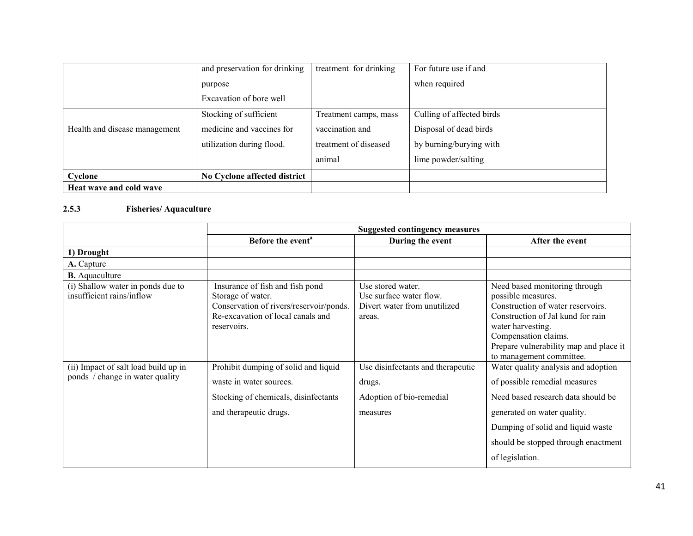|                               | and preservation for drinking | treatment for drinking | For future use if and     |  |
|-------------------------------|-------------------------------|------------------------|---------------------------|--|
|                               | purpose                       |                        | when required             |  |
|                               | Excavation of bore well       |                        |                           |  |
|                               | Stocking of sufficient        | Treatment camps, mass  | Culling of affected birds |  |
| Health and disease management | medicine and vaccines for     | vaccination and        | Disposal of dead birds    |  |
|                               | utilization during flood.     | treatment of diseased  | by burning/burying with   |  |
|                               |                               | animal                 | lime powder/salting       |  |
| Cyclone                       | No Cyclone affected district  |                        |                           |  |
| Heat wave and cold wave       |                               |                        |                           |  |

#### 2.5.3 Fisheries/ Aquaculture

|                                                                         | <b>Suggested contingency measures</b>                                                                                                               |                                                                                        |                                                                                                                                                                                                                                                  |
|-------------------------------------------------------------------------|-----------------------------------------------------------------------------------------------------------------------------------------------------|----------------------------------------------------------------------------------------|--------------------------------------------------------------------------------------------------------------------------------------------------------------------------------------------------------------------------------------------------|
|                                                                         | Before the event <sup>a</sup>                                                                                                                       | During the event                                                                       | After the event                                                                                                                                                                                                                                  |
| 1) Drought                                                              |                                                                                                                                                     |                                                                                        |                                                                                                                                                                                                                                                  |
| A. Capture                                                              |                                                                                                                                                     |                                                                                        |                                                                                                                                                                                                                                                  |
| <b>B.</b> Aquaculture                                                   |                                                                                                                                                     |                                                                                        |                                                                                                                                                                                                                                                  |
| (i) Shallow water in ponds due to<br>insufficient rains/inflow          | Insurance of fish and fish pond<br>Storage of water.<br>Conservation of rivers/reservoir/ponds.<br>Re-excavation of local canals and<br>reservoirs. | Use stored water.<br>Use surface water flow.<br>Divert water from unutilized<br>areas. | Need based monitoring through<br>possible measures.<br>Construction of water reservoirs.<br>Construction of Jal kund for rain<br>water harvesting.<br>Compensation claims.<br>Prepare vulnerability map and place it<br>to management committee. |
| (ii) Impact of salt load build up in<br>ponds / change in water quality | Prohibit dumping of solid and liquid<br>waste in water sources.<br>Stocking of chemicals, disinfectants<br>and therapeutic drugs.                   | Use disinfectants and therapeutic<br>drugs.<br>Adoption of bio-remedial<br>measures    | Water quality analysis and adoption<br>of possible remedial measures<br>Need based research data should be<br>generated on water quality.<br>Dumping of solid and liquid waste<br>should be stopped through enactment<br>of legislation.         |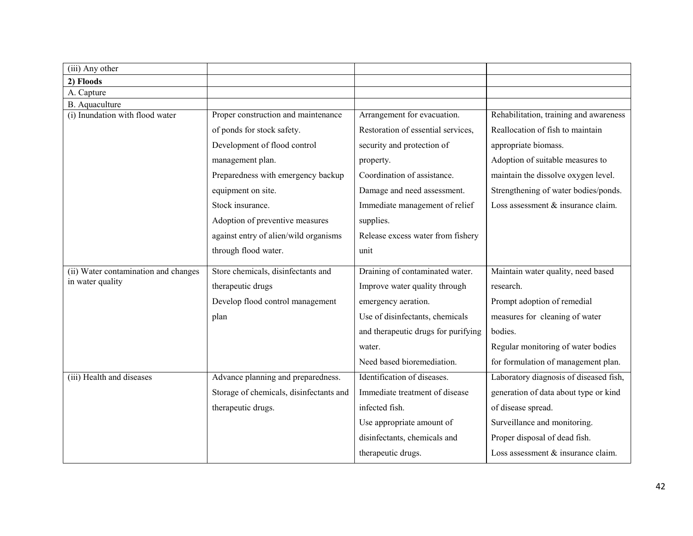| (iii) Any other                      |                                         |                                     |                                        |
|--------------------------------------|-----------------------------------------|-------------------------------------|----------------------------------------|
| 2) Floods                            |                                         |                                     |                                        |
| A. Capture                           |                                         |                                     |                                        |
| B. Aquaculture                       |                                         |                                     |                                        |
| (i) Inundation with flood water      | Proper construction and maintenance     | Arrangement for evacuation.         | Rehabilitation, training and awareness |
|                                      | of ponds for stock safety.              | Restoration of essential services,  | Reallocation of fish to maintain       |
|                                      | Development of flood control            | security and protection of          | appropriate biomass.                   |
|                                      | management plan.                        | property.                           | Adoption of suitable measures to       |
|                                      | Preparedness with emergency backup      | Coordination of assistance.         | maintain the dissolve oxygen level.    |
|                                      | equipment on site.                      | Damage and need assessment.         | Strengthening of water bodies/ponds.   |
|                                      | Stock insurance.                        | Immediate management of relief      | Loss assessment $&$ insurance claim.   |
|                                      | Adoption of preventive measures         | supplies.                           |                                        |
|                                      | against entry of alien/wild organisms   | Release excess water from fishery   |                                        |
|                                      | through flood water.                    | unit                                |                                        |
| (ii) Water contamination and changes | Store chemicals, disinfectants and      | Draining of contaminated water.     | Maintain water quality, need based     |
| in water quality                     | therapeutic drugs                       | Improve water quality through       | research.                              |
|                                      | Develop flood control management        | emergency aeration.                 | Prompt adoption of remedial            |
|                                      | plan                                    | Use of disinfectants, chemicals     | measures for cleaning of water         |
|                                      |                                         | and therapeutic drugs for purifying | bodies.                                |
|                                      |                                         | water.                              | Regular monitoring of water bodies     |
|                                      |                                         | Need based bioremediation.          | for formulation of management plan.    |
| (iii) Health and diseases            | Advance planning and preparedness.      | Identification of diseases.         | Laboratory diagnosis of diseased fish, |
|                                      | Storage of chemicals, disinfectants and | Immediate treatment of disease      | generation of data about type or kind  |
|                                      | therapeutic drugs.                      | infected fish.                      | of disease spread.                     |
|                                      |                                         | Use appropriate amount of           | Surveillance and monitoring.           |
|                                      |                                         | disinfectants, chemicals and        | Proper disposal of dead fish.          |
|                                      |                                         | therapeutic drugs.                  | Loss assessment & insurance claim.     |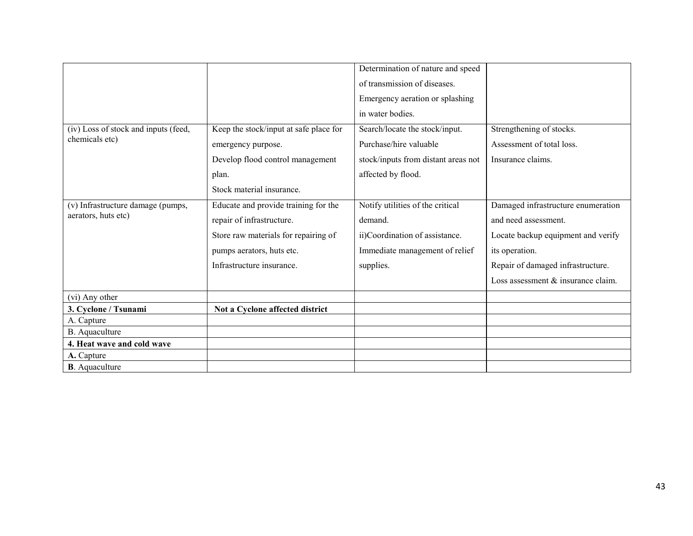|                                      |                                        | Determination of nature and speed   |                                    |
|--------------------------------------|----------------------------------------|-------------------------------------|------------------------------------|
|                                      |                                        | of transmission of diseases.        |                                    |
|                                      |                                        | Emergency aeration or splashing     |                                    |
|                                      |                                        | in water bodies.                    |                                    |
| (iv) Loss of stock and inputs (feed, | Keep the stock/input at safe place for | Search/locate the stock/input.      | Strengthening of stocks.           |
| chemicals etc)                       | emergency purpose.                     | Purchase/hire valuable              | Assessment of total loss.          |
|                                      | Develop flood control management       | stock/inputs from distant areas not | Insurance claims.                  |
|                                      | plan.                                  | affected by flood.                  |                                    |
|                                      | Stock material insurance.              |                                     |                                    |
| (v) Infrastructure damage (pumps,    | Educate and provide training for the   | Notify utilities of the critical    | Damaged infrastructure enumeration |
| aerators, huts etc)                  | repair of infrastructure.              | demand.                             | and need assessment.               |
|                                      | Store raw materials for repairing of   | ii)Coordination of assistance.      | Locate backup equipment and verify |
|                                      | pumps aerators, huts etc.              | Immediate management of relief      | its operation.                     |
|                                      | Infrastructure insurance.              | supplies.                           | Repair of damaged infrastructure.  |
|                                      |                                        |                                     | Loss assessment & insurance claim. |
| (vi) Any other                       |                                        |                                     |                                    |
| 3. Cyclone / Tsunami                 | Not a Cyclone affected district        |                                     |                                    |
| A. Capture                           |                                        |                                     |                                    |
| B. Aquaculture                       |                                        |                                     |                                    |
| 4. Heat wave and cold wave           |                                        |                                     |                                    |
| A. Capture                           |                                        |                                     |                                    |
| <b>B</b> . Aquaculture               |                                        |                                     |                                    |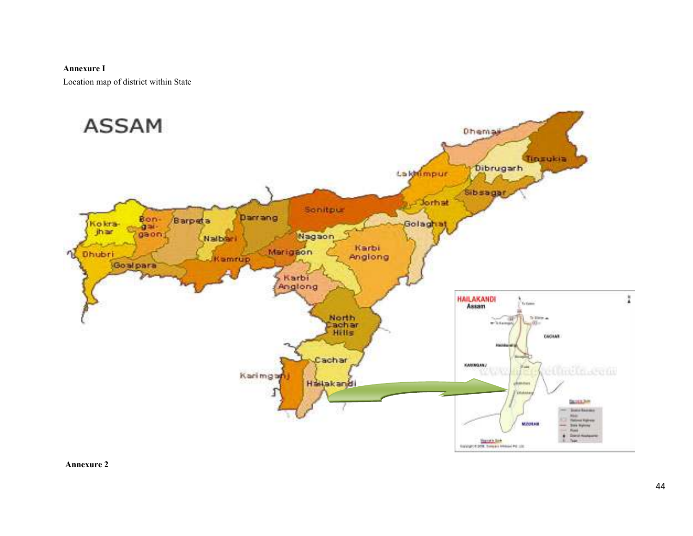#### Annexure I

Location map of district within State



Annexure 2